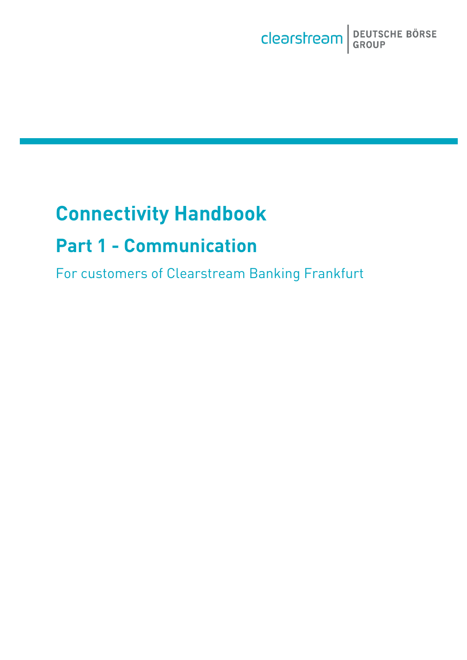

# **Connectivity Handbook**

# **Part 1 - Communication**

For customers of Clearstream Banking Frankfurt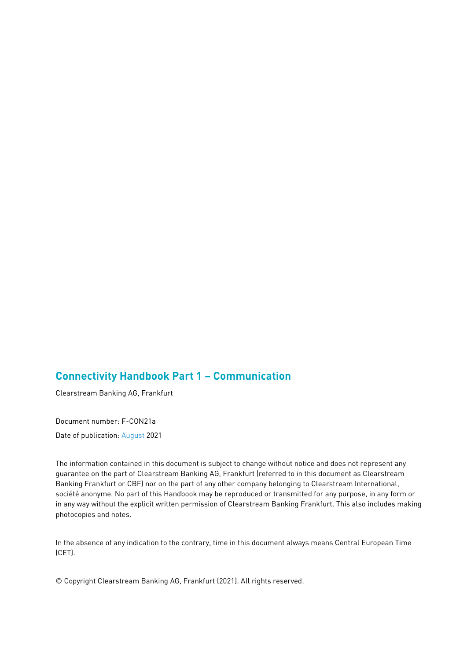# **Connectivity Handbook Part 1 – Communication**

Clearstream Banking AG, Frankfurt

Document number: F-CON21a

Date of publication: August 2021

The information contained in this document is subject to change without notice and does not represent any guarantee on the part of Clearstream Banking AG, Frankfurt (referred to in this document as Clearstream Banking Frankfurt or CBF) nor on the part of any other company belonging to Clearstream International, société anonyme. No part of this Handbook may be reproduced or transmitted for any purpose, in any form or in any way without the explicit written permission of Clearstream Banking Frankfurt. This also includes making photocopies and notes.

In the absence of any indication to the contrary, time in this document always means Central European Time (CET).

© Copyright Clearstream Banking AG, Frankfurt (2021). All rights reserved.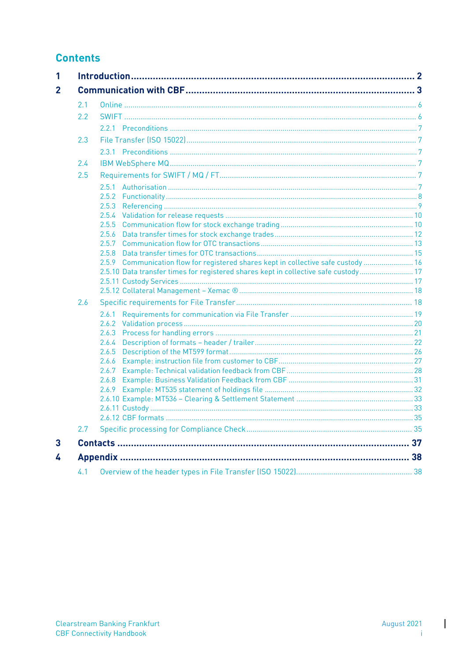# **Contents**

| 2.1 |                                                                                     |  |
|-----|-------------------------------------------------------------------------------------|--|
| 2.2 |                                                                                     |  |
|     |                                                                                     |  |
| 2.3 |                                                                                     |  |
|     |                                                                                     |  |
| 2.4 |                                                                                     |  |
| 2.5 |                                                                                     |  |
|     |                                                                                     |  |
|     |                                                                                     |  |
|     | 2.5.3                                                                               |  |
|     |                                                                                     |  |
|     | 2.5.5                                                                               |  |
|     | 2.5.6                                                                               |  |
|     |                                                                                     |  |
|     | 258                                                                                 |  |
|     | 2.5.9 Communication flow for registered shares kept in collective safe custody  16  |  |
|     | 2.5.10 Data transfer times for registered shares kept in collective safe custody 17 |  |
|     |                                                                                     |  |
|     |                                                                                     |  |
| 2.6 |                                                                                     |  |
|     |                                                                                     |  |
|     |                                                                                     |  |
|     | 2.6.3                                                                               |  |
|     | 2.6.4                                                                               |  |
|     | 2.6.5                                                                               |  |
|     | 2.6.6                                                                               |  |
|     | 2.6.7                                                                               |  |
|     |                                                                                     |  |
|     |                                                                                     |  |
|     |                                                                                     |  |
|     |                                                                                     |  |
| 2.7 |                                                                                     |  |
|     |                                                                                     |  |
|     |                                                                                     |  |
| 4.1 |                                                                                     |  |
|     |                                                                                     |  |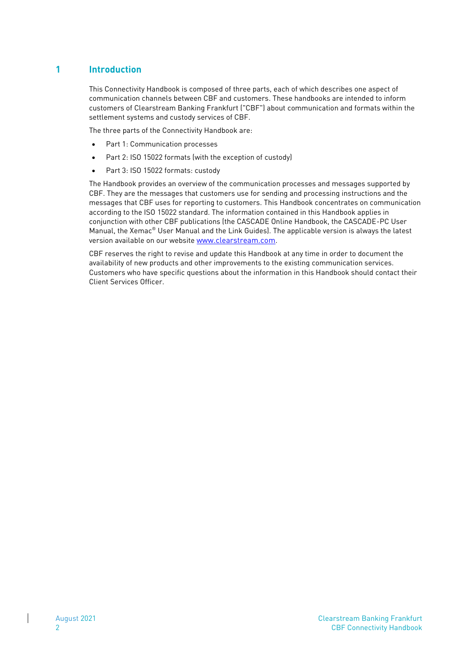# <span id="page-3-0"></span>**1 Introduction**

This Connectivity Handbook is composed of three parts, each of which describes one aspect of communication channels between CBF and customers. These handbooks are intended to inform customers of Clearstream Banking Frankfurt ("CBF") about communication and formats within the settlement systems and custody services of CBF.

The three parts of the Connectivity Handbook are:

- Part 1: Communication processes
- Part 2: ISO 15022 formats (with the exception of custody)
- Part 3: ISO 15022 formats: custody

The Handbook provides an overview of the communication processes and messages supported by CBF. They are the messages that customers use for sending and processing instructions and the messages that CBF uses for reporting to customers. This Handbook concentrates on communication according to the ISO 15022 standard. The information contained in this Handbook applies in conjunction with other CBF publications (the CASCADE Online Handbook, the CASCADE-PC User Manual, the Xemac® User Manual and the Link Guides). The applicable version is always the latest version available on our website [www.clearstream.com](file://///BARANOFF/Transfer_new$/CBF%20Connectivity%20Handbook/www.clearstream.com).

CBF reserves the right to revise and update this Handbook at any time in order to document the availability of new products and other improvements to the existing communication services. Customers who have specific questions about the information in this Handbook should contact their Client Services Officer.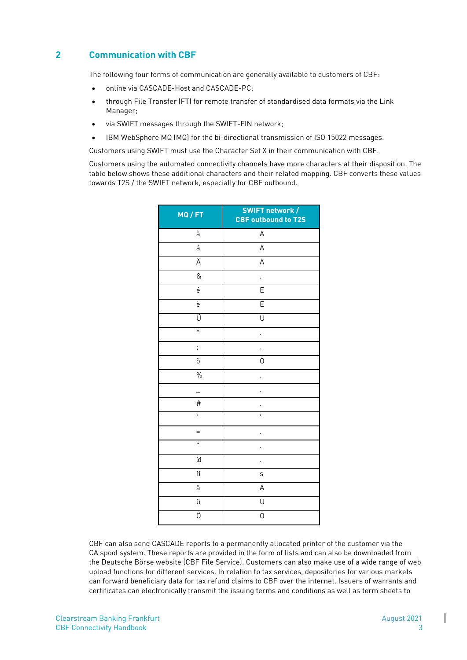# <span id="page-4-0"></span>**2 Communication with CBF**

The following four forms of communication are generally available to customers of CBF:

- online via CASCADE-Host and CASCADE-PC;
- through File Transfer (FT) for remote transfer of standardised data formats via the Link Manager;
- via SWIFT messages through the SWIFT-FIN network;
- IBM WebSphere MQ (MQ) for the bi-directional transmission of ISO 15022 messages.

Customers using SWIFT must use the Character Set X in their communication with CBF.

Customers using the automated connectivity channels have more characters at their disposition. The table below shows these additional characters and their related mapping. CBF converts these values towards T2S / the SWIFT network, especially for CBF outbound.

| MQ / FT            | <b>SWIFT network /</b><br><b>CBF outbound to T2S</b> |
|--------------------|------------------------------------------------------|
| à                  | A                                                    |
| á                  | A                                                    |
| Ä                  | A                                                    |
| &                  |                                                      |
| $\acute{\text{e}}$ | $\overline{E}$                                       |
| è                  | E                                                    |
| Ü                  | U                                                    |
| $\ast$             |                                                      |
| ;                  |                                                      |
| ö                  | 0                                                    |
| $\frac{0}{0}$      |                                                      |
|                    | ï                                                    |
| #                  |                                                      |
| ī                  | ı                                                    |
| $=$                |                                                      |
| n,                 |                                                      |
| G                  |                                                      |
| ß                  | S                                                    |
| ä                  | A                                                    |
| ü                  | U                                                    |
| Ö                  | 0                                                    |

CBF can also send CASCADE reports to a permanently allocated printer of the customer via the CA spool system. These reports are provided in the form of lists and can also be downloaded from the Deutsche Börse website (CBF File Service). Customers can also make use of a wide range of web upload functions for different services. In relation to tax services, depositories for various markets can forward beneficiary data for tax refund claims to CBF over the internet. Issuers of warrants and certificates can electronically transmit the issuing terms and conditions as well as term sheets to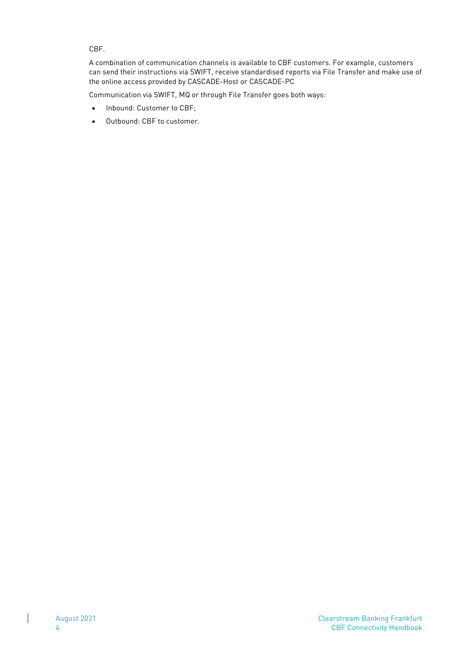CBF.

A combination of communication channels is available to CBF customers. For example, customers can send their instructions via SWIFT, receive standardised reports via File Transfer and make use of the online access provided by CASCADE-Host or CASCADE-PC

Communication via SWIFT, MQ or through File Transfer goes both ways:

- Inbound: Customer to CBF;
- Outbound: CBF to customer.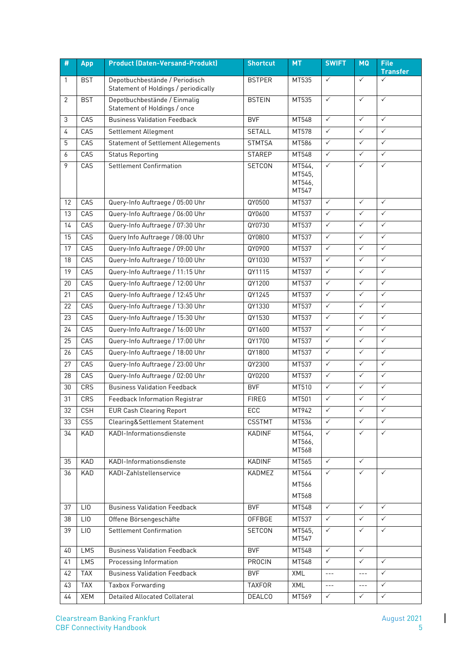| #            | <b>App</b> | <b>Product (Daten-Versand-Produkt)</b>                       | <b>Shortcut</b> | <b>MT</b>        | <b>SWIFT</b>         | <b>MQ</b>    | <b>File</b>                     |
|--------------|------------|--------------------------------------------------------------|-----------------|------------------|----------------------|--------------|---------------------------------|
|              |            | Depotbuchbestände / Periodisch                               |                 | MT535            | $\checkmark$         | $\checkmark$ | <b>Transfer</b><br>$\checkmark$ |
| $\mathbf{1}$ | <b>BST</b> | Statement of Holdings / periodically                         | <b>BSTPER</b>   |                  |                      |              |                                 |
| 2            | <b>BST</b> | Depotbuchbestände / Einmalig<br>Statement of Holdings / once | <b>BSTEIN</b>   | MT535            | $\checkmark$         | $\checkmark$ | $\checkmark$                    |
| 3            | CAS        | <b>Business Validation Feedback</b>                          | <b>BVF</b>      | MT548            | $\checkmark$         | $\checkmark$ | $\checkmark$                    |
| 4            | CAS        | Settlement Allegment                                         | <b>SETALL</b>   | MT578            | $\checkmark$         | $\checkmark$ | $\checkmark$                    |
| 5            | CAS        | <b>Statement of Settlement Allegements</b>                   | <b>STMTSA</b>   | MT586            | $\checkmark$         | $\checkmark$ | $\checkmark$                    |
| 6            | CAS        | <b>Status Reporting</b>                                      | <b>STAREP</b>   | MT548            | $\checkmark$         | $\checkmark$ | $\checkmark$                    |
| 9            | CAS        | <b>Settlement Confirmation</b>                               | <b>SETCON</b>   | MT544.           | $\checkmark$         | $\checkmark$ | $\checkmark$                    |
|              |            |                                                              |                 | MT545,<br>MT546, |                      |              |                                 |
|              |            |                                                              |                 | MT547            |                      |              |                                 |
| 12           | CAS        | Query-Info Auftraege / 05:00 Uhr                             | QY0500          | MT537            | $\checkmark$         | $\checkmark$ | $\checkmark$                    |
| 13           | CAS        | Query-Info Auftraege / 06:00 Uhr                             | QY0600          | MT537            | $\checkmark$         | $\checkmark$ | $\checkmark$                    |
| 14           | CAS        | Query-Info Auftraege / 07:30 Uhr                             | QY0730          | MT537            | $\checkmark$         | $\checkmark$ | $\checkmark$                    |
| 15           | CAS        | Query Info Auftraege / 08:00 Uhr                             | QY0800          | MT537            | $\checkmark$         | $\checkmark$ | $\checkmark$                    |
| 17           | CAS        | Query-Info Auftraege / 09:00 Uhr                             | QY0900          | MT537            | $\checkmark$         | $\checkmark$ | $\checkmark$                    |
| 18           | CAS        | Query-Info Auftraege / 10:00 Uhr                             | QY1030          | MT537            | $\checkmark$         | $\checkmark$ | $\checkmark$                    |
| 19           | CAS        | Query-Info Auftraege / 11:15 Uhr                             | QY1115          | MT537            | $\checkmark$         | $\checkmark$ | $\checkmark$                    |
| 20           | CAS        | Query-Info Auftraege / 12:00 Uhr                             | QY1200          | MT537            | $\checkmark$         | $\checkmark$ | $\checkmark$                    |
| 21           | CAS        | Query-Info Auftraege / 12:45 Uhr                             | QY1245          | MT537            | $\checkmark$         | $\checkmark$ | $\checkmark$                    |
| 22           | CAS        | Query-Info Auftraege / 13:30 Uhr                             | QY1330          | MT537            | $\checkmark$         | $\checkmark$ | $\checkmark$                    |
| 23           | CAS        | Query-Info Auftraege / 15:30 Uhr                             | QY1530          | MT537            | $\checkmark$         | $\checkmark$ | $\checkmark$                    |
| 24           | CAS        | Query-Info Auftraege / 16:00 Uhr                             | QY1600          | MT537            | $\checkmark$         | $\checkmark$ | $\checkmark$                    |
| 25           | CAS        | Query-Info Auftraege / 17:00 Uhr                             | QY1700          | MT537            | $\checkmark$         | $\checkmark$ | $\checkmark$                    |
| 26           | CAS        | Query-Info Auftraege / 18:00 Uhr                             | QY1800          | MT537            | $\checkmark$         | $\checkmark$ | $\checkmark$                    |
| 27           | CAS        | Query-Info Auftraege / 23:00 Uhr                             | QY2300          | MT537            | $\checkmark$         | $\checkmark$ | $\checkmark$                    |
| 28           | CAS        | Query-Info Auftraege / 02:00 Uhr                             | QY0200          | MT537            | $\checkmark$         | $\checkmark$ | $\checkmark$                    |
| 30           | CRS        | <b>Business Validation Feedback</b>                          | <b>BVF</b>      | MT510            | $\checkmark$         | $\checkmark$ | $\checkmark$                    |
| 31           | CRS        | Feedback Information Registrar                               | <b>FIREG</b>    | MT501            | $\checkmark$         | $\checkmark$ | $\checkmark$                    |
| 32           | CSH        | <b>EUR Cash Clearing Report</b>                              | ECC             | MT942            |                      | $\checkmark$ |                                 |
| 33           | CSS        | Clearing&Settlement Statement                                | <b>CSSTMT</b>   | MT536            | $\checkmark$         | $\checkmark$ | $\checkmark$                    |
| 34           | KAD        | KADI-Informationsdienste                                     | KADINF          | MT564,<br>MT566, | $\checkmark$         | $\checkmark$ | $\checkmark$                    |
|              |            |                                                              |                 | MT568            |                      |              |                                 |
| 35           | KAD        | KADI-Informationsdienste                                     | KADINF          | MT565            | $\checkmark$         | $\checkmark$ |                                 |
| 36           | KAD        | KADI-Zahlstellenservice                                      | KADMEZ          | MT564            | $\checkmark$         | $\checkmark$ | ✓                               |
|              |            |                                                              |                 | MT566            |                      |              |                                 |
|              |            |                                                              |                 | MT568            |                      |              |                                 |
| 37           | LIO        | <b>Business Validation Feedback</b>                          | <b>BVF</b>      | MT548            | $\checkmark$         | $\checkmark$ | $\checkmark$                    |
| 38           | LI0        | Offene Börsengeschäfte                                       | OFFBGE          | MT537            | $\checkmark$         | $\checkmark$ | $\checkmark$                    |
| 39           | LI0        | <b>Settlement Confirmation</b>                               | SETCON          | MT545,<br>MT547  | $\checkmark$         | $\checkmark$ | $\checkmark$                    |
| 40           | LMS        | <b>Business Validation Feedback</b>                          | <b>BVF</b>      | MT548            | $\checkmark$         | $\checkmark$ |                                 |
| 41           | LMS        | Processing Information                                       | PROCIN          | MT548            | $\checkmark$         | $\checkmark$ | $\checkmark$                    |
| 42           | <b>TAX</b> | <b>Business Validation Feedback</b>                          | <b>BVF</b>      | XML              | $ -$                 | $- - -$      | $\checkmark$                    |
| 43           | <b>TAX</b> | <b>Taxbox Forwarding</b>                                     | <b>TAXFOR</b>   | XML              | $\sim$ $\sim$ $\sim$ | $- - -$      | $\checkmark$                    |
| 44           | XEM        | Detailed Allocated Collateral                                | <b>DEALCO</b>   | MT569            | $\checkmark$         | $\checkmark$ | $\checkmark$                    |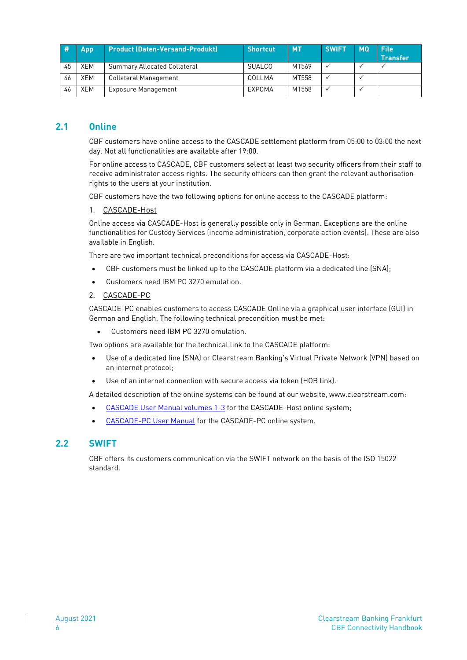|    | App        | Product (Daten-Versand-Produkt)     | <b>Shortcut</b> | <b>MT</b> | <b>SWIFT</b> | <b>MQ</b> | <b>File</b><br><b>Transfer</b> |
|----|------------|-------------------------------------|-----------------|-----------|--------------|-----------|--------------------------------|
| 45 | XEM        | <b>Summary Allocated Collateral</b> | SUALCO          | MT569     |              |           |                                |
| 46 | XEM        | Collateral Management               | COLLMA          | MT558     |              |           |                                |
| 46 | <b>XEM</b> | <b>Exposure Management</b>          | EXPOMA          | MT558     |              |           |                                |

## <span id="page-7-0"></span>**2.1 Online**

CBF customers have online access to the CASCADE settlement platform from 05:00 to 03:00 the next day. Not all functionalities are available after 19:00.

For online access to CASCADE, CBF customers select at least two security officers from their staff to receive administrator access rights. The security officers can then grant the relevant authorisation rights to the users at your institution.

CBF customers have the two following options for online access to the CASCADE platform:

#### 1. CASCADE-Host

Online access via CASCADE-Host is generally possible only in German. Exceptions are the online functionalities for Custody Services (income administration, corporate action events). These are also available in English.

There are two important technical preconditions for access via CASCADE-Host:

- CBF customers must be linked up to the CASCADE platform via a dedicated line (SNA);
- Customers need IBM PC 3270 emulation.

#### 2. CASCADE-PC

CASCADE-PC enables customers to access CASCADE Online via a graphical user interface (GUI) in German and English. The following technical precondition must be met:

• Customers need IBM PC 3270 emulation.

Two options are available for the technical link to the CASCADE platform:

- Use of a dedicated line (SNA) or Clearstream Banking's Virtual Private Network (VPN) based on an internet protocol;
- Use of an internet connection with secure access via token (HOB link).

A detailed description of the online systems can be found at our website, www.clearstream.com:

- [CASCADE User Manual volumes 1-3](http://www.clearstream.com/clearstream-en/products-and-services/connectivity--1-/cascade/cascade-online) for the CASCADE-Host online system;
- [CASCADE-PC User Manual](http://www.clearstream.com/blob/10586/ad62a27d8ef6713e1e6476f4538a3bc3/cascade-pc-user-manual-en-data.pdf) for the CASCADE-PC online system.

### <span id="page-7-1"></span>**2.2 SWIFT**

CBF offers its customers communication via the SWIFT network on the basis of the ISO 15022 standard.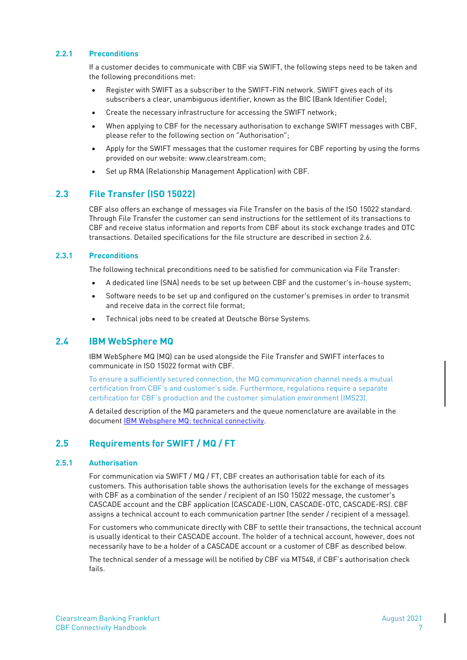#### <span id="page-8-0"></span>**2.2.1 Preconditions**

If a customer decides to communicate with CBF via SWIFT, the following steps need to be taken and the following preconditions met:

- Register with SWIFT as a subscriber to the SWIFT-FIN network. SWIFT gives each of its subscribers a clear, unambiguous identifier, known as the BIC (Bank Identifier Code);
- Create the necessary infrastructure for accessing the SWIFT network;
- When applying to CBF for the necessary authorisation to exchange SWIFT messages with CBF, please refer to the following section on "Authorisation";
- Apply for the SWIFT messages that the customer requires for CBF reporting by using the forms provided on our website: www.clearstream.com;
- Set up RMA (Relationship Management Application) with CBF.

#### <span id="page-8-1"></span>**2.3 File Transfer (ISO 15022)**

CBF also offers an exchange of messages via File Transfer on the basis of the ISO 15022 standard. Through File Transfer the customer can send instructions for the settlement of its transactions to CBF and receive status information and reports from CBF about its stock exchange trades and OTC transactions. Detailed specifications for the file structure are described in section 2.6.

#### <span id="page-8-2"></span>**2.3.1 Preconditions**

The following technical preconditions need to be satisfied for communication via File Transfer:

- A dedicated line (SNA) needs to be set up between CBF and the customer's in-house system;
- Software needs to be set up and configured on the customer's premises in order to transmit and receive data in the correct file format;
- Technical jobs need to be created at Deutsche Börse Systems.

#### <span id="page-8-3"></span>**2.4 IBM WebSphere MQ**

IBM WebSphere MQ (MQ) can be used alongside the File Transfer and SWIFT interfaces to communicate in ISO 15022 format with CBF.

To ensure a sufficiently secured connection, the MQ communication channel needs a mutual certification from CBF's and customer's side. Furthermore, regulations require a separate certification for CBF's production and the customer simulation environment (IMS23).

A detailed description of the MQ parameters and the queue nomenclature are available in the document [IBM Websphere MQ: technical connectivity.](http://www.clearstream.com/blob/9796/b792bd1f68432082a3f84d01ba6179d8/ibm-websphere-mq-en-data.pdf)

# <span id="page-8-4"></span>**2.5 Requirements for SWIFT / MQ / FT**

#### <span id="page-8-5"></span>**2.5.1 Authorisation**

For communication via SWIFT / MQ / FT, CBF creates an authorisation table for each of its customers. This authorisation table shows the authorisation levels for the exchange of messages with CBF as a combination of the sender / recipient of an ISO 15022 message, the customer's CASCADE account and the CBF application (CASCADE-LION, CASCADE-OTC, CASCADE-RS). CBF assigns a technical account to each communication partner (the sender / recipient of a message).

For customers who communicate directly with CBF to settle their transactions, the technical account is usually identical to their CASCADE account. The holder of a technical account, however, does not necessarily have to be a holder of a CASCADE account or a customer of CBF as described below.

The technical sender of a message will be notified by CBF via MT548, if CBF's authorisation check fails.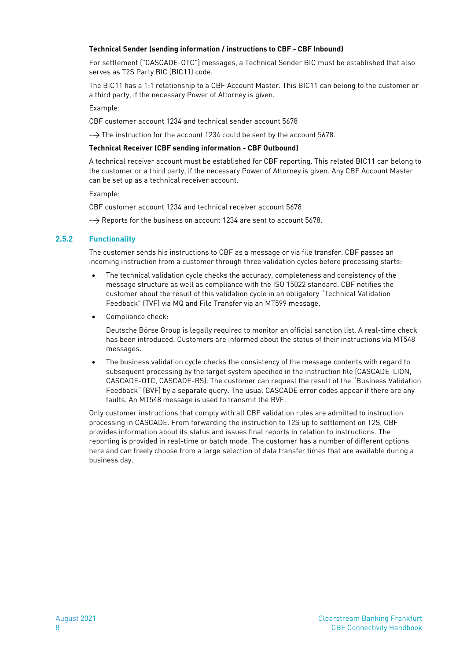#### **Technical Sender (sending information / instructions to CBF - CBF Inbound)**

For settlement ("CASCADE-OTC") messages, a Technical Sender BIC must be established that also serves as T2S Party BIC (BIC11) code.

The BIC11 has a 1:1 relationship to a CBF Account Master. This BIC11 can belong to the customer or a third party, if the necessary Power of Attorney is given.

Example:

CBF customer account 1234 and technical sender account 5678

 $\rightarrow$  The instruction for the account 1234 could be sent by the account 5678.

#### **Technical Receiver (CBF sending information - CBF Outbound)**

A technical receiver account must be established for CBF reporting. This related BIC11 can belong to the customer or a third party, if the necessary Power of Attorney is given. Any CBF Account Master can be set up as a technical receiver account.

Example:

CBF customer account 1234 and technical receiver account 5678

 $\rightarrow$  Reports for the business on account 1234 are sent to account 5678.

#### <span id="page-9-0"></span>**2.5.2 Functionality**

The customer sends his instructions to CBF as a message or via file transfer. CBF passes an incoming instruction from a customer through three validation cycles before processing starts:

- The technical validation cycle checks the accuracy, completeness and consistency of the message structure as well as compliance with the ISO 15022 standard. CBF notifies the customer about the result of this validation cycle in an obligatory "Technical Validation Feedback" (TVF) via MQ and File Transfer via an MT599 message.
- Compliance check:

Deutsche Börse Group is legally required to monitor an official sanction list. A real-time check has been introduced. Customers are informed about the status of their instructions via MT548 messages.

• The business validation cycle checks the consistency of the message contents with regard to subsequent processing by the target system specified in the instruction file (CASCADE-LION, CASCADE-OTC, CASCADE-RS). The customer can request the result of the "Business Validation Feedback" (BVF) by a separate query. The usual CASCADE error codes appear if there are any faults. An MT548 message is used to transmit the BVF.

Only customer instructions that comply with all CBF validation rules are admitted to instruction processing in CASCADE. From forwarding the instruction to T2S up to settlement on T2S, CBF provides information about its status and issues final reports in relation to instructions. The reporting is provided in real-time or batch mode. The customer has a number of different options here and can freely choose from a large selection of data transfer times that are available during a business day.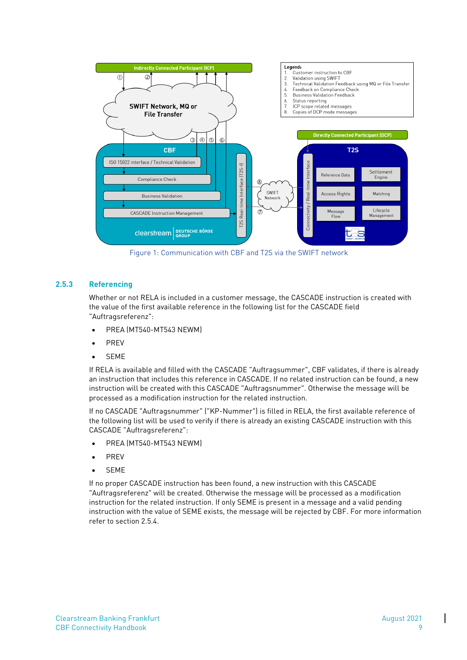

Figure 1: Communication with CBF and T2S via the SWIFT network

#### <span id="page-10-0"></span>**2.5.3 Referencing**

Whether or not RELA is included in a customer message, the CASCADE instruction is created with the value of the first available reference in the following list for the CASCADE field "Auftragsreferenz":

- PREA (MT540-MT543 NEWM)
- **PREV**
- **SEME**

If RELA is available and filled with the CASCADE "Auftragsummer", CBF validates, if there is already an instruction that includes this reference in CASCADE. If no related instruction can be found, a new instruction will be created with this CASCADE "Auftragsnummer". Otherwise the message will be processed as a modification instruction for the related instruction.

If no CASCADE "Auftragsnummer" ("KP-Nummer") is filled in RELA, the first available reference of the following list will be used to verify if there is already an existing CASCADE instruction with this CASCADE "Auftragsreferenz":

- PREA (MT540-MT543 NEWM)
- PREV
- SEME

If no proper CASCADE instruction has been found, a new instruction with this CASCADE "Auftragsreferenz" will be created. Otherwise the message will be processed as a modification instruction for the related instruction. If only SEME is present in a message and a valid pending instruction with the value of SEME exists, the message will be rejected by CBF. For more information refer to section 2.5.4.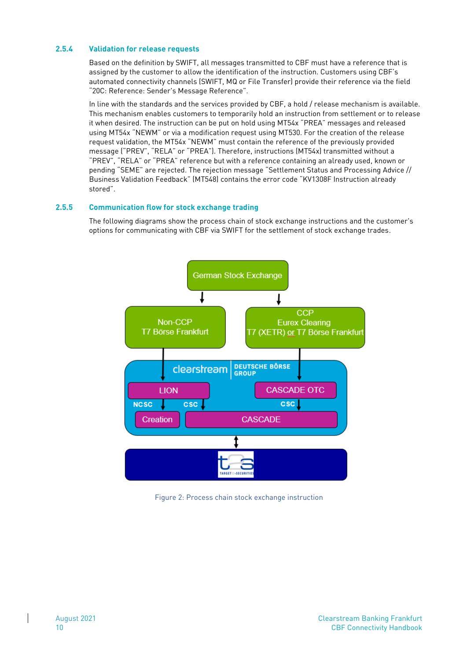#### <span id="page-11-0"></span>**2.5.4 Validation for release requests**

Based on the definition by SWIFT, all messages transmitted to CBF must have a reference that is assigned by the customer to allow the identification of the instruction. Customers using CBF's automated connectivity channels (SWIFT, MQ or File Transfer) provide their reference via the field "20C: Reference: Sender's Message Reference".

In line with the standards and the services provided by CBF, a hold / release mechanism is available. This mechanism enables customers to temporarily hold an instruction from settlement or to release it when desired. The instruction can be put on hold using MT54x "PREA" messages and released using MT54x "NEWM" or via a modification request using MT530. For the creation of the release request validation, the MT54x "NEWM" must contain the reference of the previously provided message ("PREV", "RELA" or "PREA"). Therefore, instructions (MT54x) transmitted without a "PREV", "RELA" or "PREA" reference but with a reference containing an already used, known or pending "SEME" are rejected. The rejection message "Settlement Status and Processing Advice // Business Validation Feedback" (MT548) contains the error code "KV1308F Instruction already stored".

#### <span id="page-11-1"></span>**2.5.5 Communication flow for stock exchange trading**

The following diagrams show the process chain of stock exchange instructions and the customer's options for communicating with CBF via SWIFT for the settlement of stock exchange trades.



Figure 2: Process chain stock exchange instruction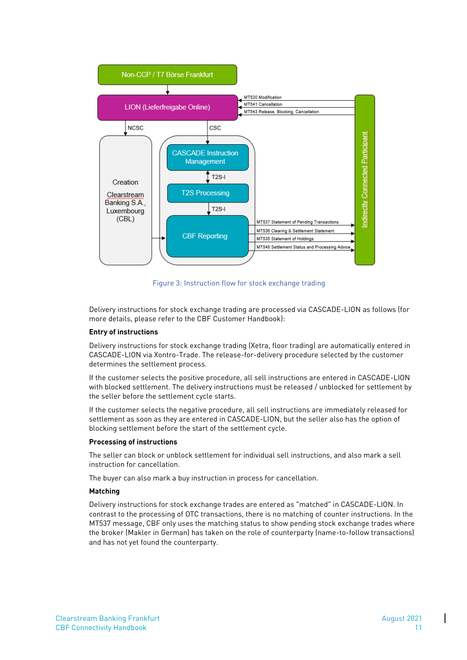

Figure 3: Instruction flow for stock exchange trading

Delivery instructions for stock exchange trading are processed via CASCADE-LION as follows (for more details, please refer to the CBF Customer Handbook):

#### **Entry of instructions**

Delivery instructions for stock exchange trading (Xetra, floor trading) are automatically entered in CASCADE-LION via Xontro-Trade. The release-for-delivery procedure selected by the customer determines the settlement process.

If the customer selects the positive procedure, all sell instructions are entered in CASCADE-LION with blocked settlement. The delivery instructions must be released / unblocked for settlement by the seller before the settlement cycle starts.

If the customer selects the negative procedure, all sell instructions are immediately released for settlement as soon as they are entered in CASCADE-LION, but the seller also has the option of blocking settlement before the start of the settlement cycle.

#### **Processing of instructions**

The seller can block or unblock settlement for individual sell instructions, and also mark a sell instruction for cancellation.

The buyer can also mark a buy instruction in process for cancellation.

#### **Matching**

Delivery instructions for stock exchange trades are entered as "matched" in CASCADE-LION. In contrast to the processing of OTC transactions, there is no matching of counter instructions. In the MT537 message, CBF only uses the matching status to show pending stock exchange trades where the broker (Makler in German) has taken on the role of counterparty (name-to-follow transactions) and has not yet found the counterparty.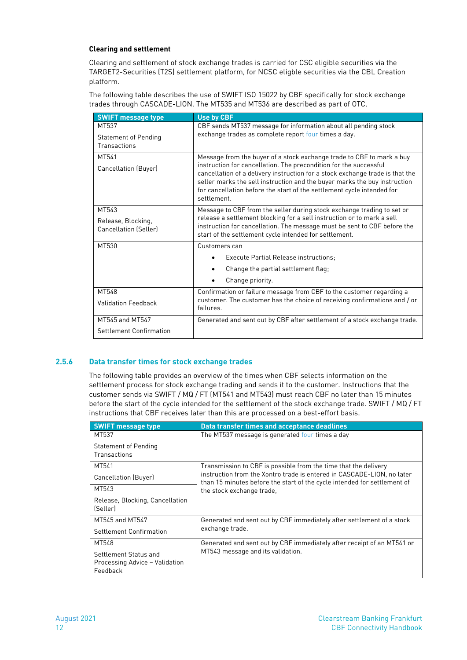#### **Clearing and settlement**

Clearing and settlement of stock exchange trades is carried for CSC eligible securities via the TARGET2-Securities (T2S) settlement platform, for NCSC eligble securities via the CBL Creation platform.

The following table describes the use of SWIFT ISO 15022 by CBF specifically for stock exchange trades through CASCADE-LION. The MT535 and MT536 are described as part of OTC.

| <b>SWIFT message type</b>    | <b>Use by CBF</b>                                                                                                                                  |
|------------------------------|----------------------------------------------------------------------------------------------------------------------------------------------------|
| MT537                        | CBF sends MT537 message for information about all pending stock                                                                                    |
| <b>Statement of Pending</b>  | exchange trades as complete report four times a day.                                                                                               |
| Transactions                 |                                                                                                                                                    |
| MT541                        | Message from the buyer of a stock exchange trade to CBF to mark a buy                                                                              |
| Cancellation (Buyer)         | instruction for cancellation. The precondition for the successful<br>cancellation of a delivery instruction for a stock exchange trade is that the |
|                              | seller marks the sell instruction and the buyer marks the buy instruction                                                                          |
|                              | for cancellation before the start of the settlement cycle intended for<br>settlement.                                                              |
|                              |                                                                                                                                                    |
| MT543                        | Message to CBF from the seller during stock exchange trading to set or                                                                             |
| Release, Blocking,           | release a settlement blocking for a sell instruction or to mark a sell<br>instruction for cancellation. The message must be sent to CBF before the |
| <b>Cancellation (Seller)</b> | start of the settlement cycle intended for settlement.                                                                                             |
| MT530                        | Customers can                                                                                                                                      |
|                              | Execute Partial Release instructions;                                                                                                              |
|                              | Change the partial settlement flag;                                                                                                                |
|                              | Change priority.                                                                                                                                   |
| MT548                        | Confirmation or failure message from CBF to the customer regarding a                                                                               |
| <b>Validation Feedback</b>   | customer. The customer has the choice of receiving confirmations and / or<br>failures.                                                             |
| MT545 and MT547              | Generated and sent out by CBF after settlement of a stock exchange trade.                                                                          |
| Settlement Confirmation      |                                                                                                                                                    |

#### <span id="page-13-0"></span>**2.5.6 Data transfer times for stock exchange trades**

The following table provides an overview of the times when CBF selects information on the settlement process for stock exchange trading and sends it to the customer. Instructions that the customer sends via SWIFT / MQ / FT (MT541 and MT543) must reach CBF no later than 15 minutes before the start of the cycle intended for the settlement of the stock exchange trade. SWIFT / MQ / FT instructions that CBF receives later than this are processed on a best-effort basis.

| <b>SWIFT message type</b>       | Data transfer times and acceptance deadlines                                                                                                       |  |
|---------------------------------|----------------------------------------------------------------------------------------------------------------------------------------------------|--|
| MT537                           | The MT537 message is generated four times a day                                                                                                    |  |
| Statement of Pending            |                                                                                                                                                    |  |
| Transactions                    |                                                                                                                                                    |  |
| MT541                           | Transmission to CBF is possible from the time that the delivery                                                                                    |  |
| Cancellation (Buyer)            | instruction from the Xontro trade is entered in CASCADE-LION, no later<br>than 15 minutes before the start of the cycle intended for settlement of |  |
| MT543                           | the stock exchange trade,                                                                                                                          |  |
| Release, Blocking, Cancellation |                                                                                                                                                    |  |
| (Seller)                        |                                                                                                                                                    |  |
| MT545 and MT547                 | Generated and sent out by CBF immediately after settlement of a stock                                                                              |  |
| Settlement Confirmation         | exchange trade.                                                                                                                                    |  |
| MT548                           | Generated and sent out by CBF immediately after receipt of an MT541 or                                                                             |  |
| Settlement Status and           | MT543 message and its validation.                                                                                                                  |  |
| Processing Advice - Validation  |                                                                                                                                                    |  |
| Feedback                        |                                                                                                                                                    |  |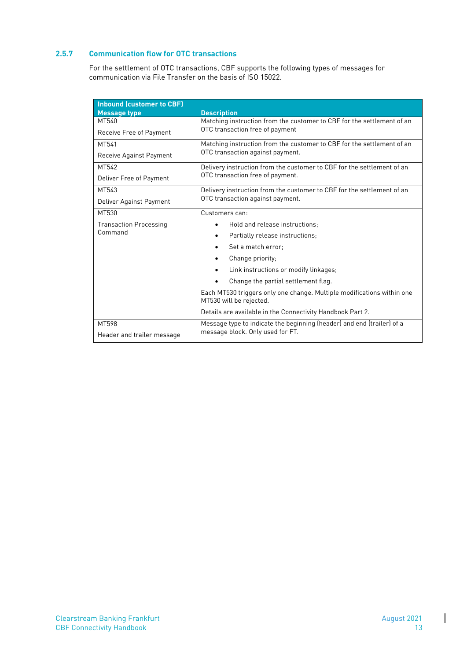#### <span id="page-14-0"></span>**2.5.7 Communication flow for OTC transactions**

For the settlement of OTC transactions, CBF supports the following types of messages for communication via File Transfer on the basis of ISO 15022.

| Inbound (customer to CBF)     |                                                                                                   |  |  |
|-------------------------------|---------------------------------------------------------------------------------------------------|--|--|
| <b>Message type</b>           | <b>Description</b>                                                                                |  |  |
| MT540                         | Matching instruction from the customer to CBF for the settlement of an                            |  |  |
| Receive Free of Payment       | OTC transaction free of payment                                                                   |  |  |
| MT541                         | Matching instruction from the customer to CBF for the settlement of an                            |  |  |
| Receive Against Payment       | OTC transaction against payment.                                                                  |  |  |
| MT542                         | Delivery instruction from the customer to CBF for the settlement of an                            |  |  |
| Deliver Free of Payment       | OTC transaction free of payment.                                                                  |  |  |
| MT543                         | Delivery instruction from the customer to CBF for the settlement of an                            |  |  |
| Deliver Against Payment       | OTC transaction against payment.                                                                  |  |  |
| MT530                         | Customers can:                                                                                    |  |  |
| <b>Transaction Processing</b> | Hold and release instructions:                                                                    |  |  |
| Command                       | Partially release instructions;<br>٠                                                              |  |  |
|                               | Set a match error:                                                                                |  |  |
|                               | Change priority;                                                                                  |  |  |
|                               | Link instructions or modify linkages;                                                             |  |  |
|                               | Change the partial settlement flag.<br>$\bullet$                                                  |  |  |
|                               | Each MT530 triggers only one change. Multiple modifications within one<br>MT530 will be rejected. |  |  |
|                               | Details are available in the Connectivity Handbook Part 2.                                        |  |  |
| MT598                         | Message type to indicate the beginning (header) and end (trailer) of a                            |  |  |
| Header and trailer message    | message block. Only used for FT.                                                                  |  |  |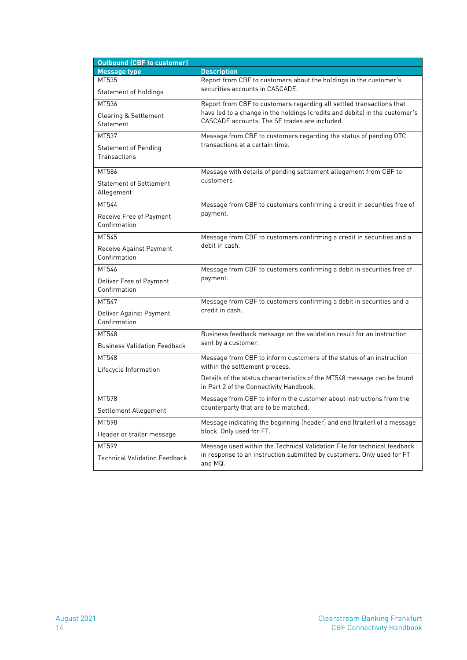| <b>Outbound (CBF to customer)</b>    |                                                                                                                    |  |  |  |
|--------------------------------------|--------------------------------------------------------------------------------------------------------------------|--|--|--|
| <b>Message type</b>                  | <b>Description</b>                                                                                                 |  |  |  |
| MT535                                | Report from CBF to customers about the holdings in the customer's                                                  |  |  |  |
| <b>Statement of Holdings</b>         | securities accounts in CASCADE.                                                                                    |  |  |  |
| MT536                                | Report from CBF to customers regarding all settled transactions that                                               |  |  |  |
| <b>Clearing &amp; Settlement</b>     | have led to a change in the holdings (credits and debits) in the customer's                                        |  |  |  |
| Statement                            | CASCADE accounts. The SE trades are included.                                                                      |  |  |  |
| MT537                                | Message from CBF to customers regarding the status of pending OTC                                                  |  |  |  |
| <b>Statement of Pending</b>          | transactions at a certain time.                                                                                    |  |  |  |
| Transactions                         |                                                                                                                    |  |  |  |
| MT586                                | Message with details of pending settlement allegement from CBF to                                                  |  |  |  |
| <b>Statement of Settlement</b>       | customers                                                                                                          |  |  |  |
| Allegement                           |                                                                                                                    |  |  |  |
| MT544                                | Message from CBF to customers confirming a credit in securities free of                                            |  |  |  |
| Receive Free of Payment              | payment.                                                                                                           |  |  |  |
| Confirmation                         |                                                                                                                    |  |  |  |
| MT545                                | Message from CBF to customers confirming a credit in securities and a                                              |  |  |  |
| Receive Against Payment              | debit in cash.                                                                                                     |  |  |  |
| Confirmation                         |                                                                                                                    |  |  |  |
| MT546                                | Message from CBF to customers confirming a debit in securities free of                                             |  |  |  |
| Deliver Free of Payment              | payment.                                                                                                           |  |  |  |
| Confirmation                         |                                                                                                                    |  |  |  |
| MT547                                | Message from CBF to customers confirming a debit in securities and a                                               |  |  |  |
| Deliver Against Payment              | credit in cash.                                                                                                    |  |  |  |
| Confirmation                         |                                                                                                                    |  |  |  |
| MT548                                | Business feedback message on the validation result for an instruction                                              |  |  |  |
| <b>Business Validation Feedback</b>  | sent by a customer.                                                                                                |  |  |  |
| MT548                                | Message from CBF to inform customers of the status of an instruction                                               |  |  |  |
| Lifecycle Information                | within the settlement process.                                                                                     |  |  |  |
|                                      | Details of the status characteristics of the MT548 message can be found<br>in Part 2 of the Connectivity Handbook. |  |  |  |
| MT578                                | Message from CBF to inform the customer about instructions from the                                                |  |  |  |
|                                      | counterparty that are to be matched.                                                                               |  |  |  |
| Settlement Allegement                |                                                                                                                    |  |  |  |
| MT598                                | Message indicating the beginning (header) and end (trailer) of a message<br>block. Only used for FT.               |  |  |  |
| Header or trailer message            |                                                                                                                    |  |  |  |
| MT599                                | Message used within the Technical Validation File for technical feedback                                           |  |  |  |
| <b>Technical Validation Feedback</b> | in response to an instruction submitted by customers. Only used for FT<br>and MQ.                                  |  |  |  |

 $\begin{array}{c} \hline \end{array}$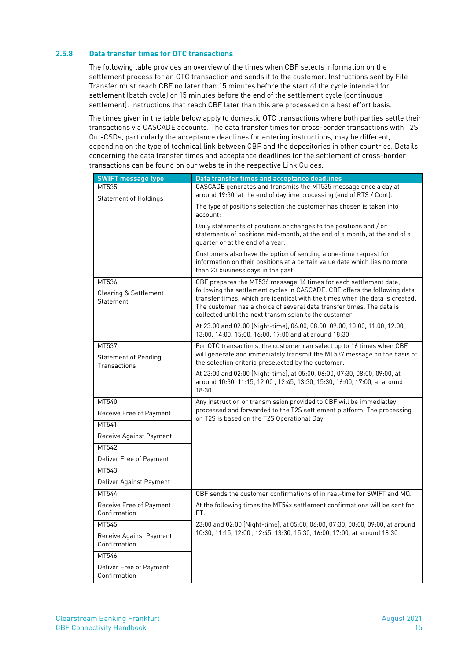#### <span id="page-16-0"></span>**2.5.8 Data transfer times for OTC transactions**

The following table provides an overview of the times when CBF selects information on the settlement process for an OTC transaction and sends it to the customer. Instructions sent by File Transfer must reach CBF no later than 15 minutes before the start of the cycle intended for settlement (batch cycle) or 15 minutes before the end of the settlement cycle (continuous settlement). Instructions that reach CBF later than this are processed on a best effort basis.

The times given in the table below apply to domestic OTC transactions where both parties settle their transactions via CASCADE accounts. The data transfer times for cross-border transactions with T2S Out-CSDs, particularly the acceptance deadlines for entering instructions, may be different, depending on the type of technical link between CBF and the depositories in other countries. Details concerning the data transfer times and acceptance deadlines for the settlement of cross-border transactions can be found on our website in the respective Link Guides.

| <b>SWIFT message type</b>                              | Data transfer times and acceptance deadlines                                                                                                                                                                                                                                                                                                                      |
|--------------------------------------------------------|-------------------------------------------------------------------------------------------------------------------------------------------------------------------------------------------------------------------------------------------------------------------------------------------------------------------------------------------------------------------|
| MT535<br><b>Statement of Holdings</b>                  | CASCADE generates and transmits the MT535 message once a day at<br>around 19:30, at the end of daytime processing (end of RTS / Cont).                                                                                                                                                                                                                            |
|                                                        | The type of positions selection the customer has chosen is taken into<br>account:                                                                                                                                                                                                                                                                                 |
|                                                        | Daily statements of positions or changes to the positions and / or<br>statements of positions mid-month, at the end of a month, at the end of a<br>quarter or at the end of a year.                                                                                                                                                                               |
|                                                        | Customers also have the option of sending a one-time request for<br>information on their positions at a certain value date which lies no more<br>than 23 business days in the past.                                                                                                                                                                               |
| MT536<br><b>Clearing &amp; Settlement</b><br>Statement | CBF prepares the MT536 message 14 times for each settlement date,<br>following the settlement cycles in CASCADE. CBF offers the following data<br>transfer times, which are identical with the times when the data is created.<br>The customer has a choice of several data transfer times. The data is<br>collected until the next transmission to the customer. |
|                                                        | At 23:00 and 02:00 (Night-time), 06:00, 08:00, 09:00, 10:00, 11:00, 12:00,<br>13:00, 14:00, 15:00, 16:00, 17:00 and at around 18:30                                                                                                                                                                                                                               |
| MT537<br><b>Statement of Pending</b><br>Transactions   | For OTC transactions, the customer can select up to 16 times when CBF<br>will generate and immediately transmit the MT537 message on the basis of<br>the selection criteria preselected by the customer.                                                                                                                                                          |
|                                                        | At 23:00 and 02:00 (Night-time), at 05:00, 06:00, 07:30, 08:00, 09:00, at<br>around 10:30, 11:15, 12:00, 12:45, 13:30, 15:30, 16:00, 17:00, at around<br>18:30                                                                                                                                                                                                    |
| MT540                                                  | Any instruction or transmission provided to CBF will be immediatley                                                                                                                                                                                                                                                                                               |
| Receive Free of Payment                                | processed and forwarded to the T2S settlement platform. The processing<br>on T2S is based on the T2S Operational Day.                                                                                                                                                                                                                                             |
| MT541                                                  |                                                                                                                                                                                                                                                                                                                                                                   |
| Receive Against Payment                                |                                                                                                                                                                                                                                                                                                                                                                   |
| MT542                                                  |                                                                                                                                                                                                                                                                                                                                                                   |
| Deliver Free of Payment                                |                                                                                                                                                                                                                                                                                                                                                                   |
| MT543                                                  |                                                                                                                                                                                                                                                                                                                                                                   |
| Deliver Against Payment                                |                                                                                                                                                                                                                                                                                                                                                                   |
| MT544                                                  | CBF sends the customer confirmations of in real-time for SWIFT and MQ.                                                                                                                                                                                                                                                                                            |
| Receive Free of Payment<br>Confirmation                | At the following times the MT54x settlement confirmations will be sent for<br>FT:                                                                                                                                                                                                                                                                                 |
| MT545                                                  | 23:00 and 02:00 (Night-time), at 05:00, 06:00, 07:30, 08:00, 09:00, at around                                                                                                                                                                                                                                                                                     |
| Receive Against Payment<br>Confirmation                | 10:30, 11:15, 12:00, 12:45, 13:30, 15:30, 16:00, 17:00, at around 18:30                                                                                                                                                                                                                                                                                           |
| MT546                                                  |                                                                                                                                                                                                                                                                                                                                                                   |
| Deliver Free of Payment<br>Confirmation                |                                                                                                                                                                                                                                                                                                                                                                   |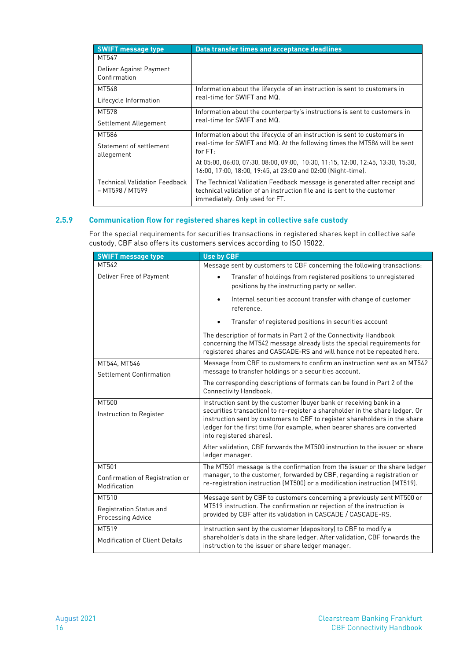| <b>SWIFT message type</b>                        | Data transfer times and acceptance deadlines                                                                                                                                          |
|--------------------------------------------------|---------------------------------------------------------------------------------------------------------------------------------------------------------------------------------------|
| MT547                                            |                                                                                                                                                                                       |
| Deliver Against Payment<br>Confirmation          |                                                                                                                                                                                       |
| MT548                                            | Information about the lifecycle of an instruction is sent to customers in                                                                                                             |
| Lifecycle Information                            | real-time for SWIFT and MQ.                                                                                                                                                           |
| MT578                                            | Information about the counterparty's instructions is sent to customers in                                                                                                             |
| Settlement Allegement                            | real-time for SWIFT and MQ.                                                                                                                                                           |
| MT586                                            | Information about the lifecycle of an instruction is sent to customers in                                                                                                             |
| Statement of settlement<br>allegement            | real-time for SWIFT and MQ. At the following times the MT586 will be sent<br>for $FT:$                                                                                                |
|                                                  | At 05:00, 06:00, 07:30, 08:00, 09:00, 10:30, 11:15, 12:00, 12:45, 13:30, 15:30,<br>16:00, 17:00, 18:00, 19:45, at 23:00 and 02:00 (Night-time).                                       |
| Technical Validation Feedback<br>– MT598 / MT599 | The Technical Validation Feedback message is generated after receipt and<br>technical validation of an instruction file and is sent to the customer<br>immediately. Only used for FT. |

#### <span id="page-17-0"></span>**2.5.9 Communication flow for registered shares kept in collective safe custody**

For the special requirements for securities transactions in registered shares kept in collective safe custody, CBF also offers its customers services according to ISO 15022.

| <b>SWIFT message type</b>                       | <b>Use by CBF</b>                                                                                                                                                                                                                                                                                                                         |
|-------------------------------------------------|-------------------------------------------------------------------------------------------------------------------------------------------------------------------------------------------------------------------------------------------------------------------------------------------------------------------------------------------|
| MT542                                           | Message sent by customers to CBF concerning the following transactions:                                                                                                                                                                                                                                                                   |
| Deliver Free of Payment                         | Transfer of holdings from registered positions to unregistered<br>positions by the instructing party or seller.                                                                                                                                                                                                                           |
|                                                 | Internal securities account transfer with change of customer<br>$\bullet$<br>reference.                                                                                                                                                                                                                                                   |
|                                                 | Transfer of registered positions in securities account                                                                                                                                                                                                                                                                                    |
|                                                 | The description of formats in Part 2 of the Connectivity Handbook<br>concerning the MT542 message already lists the special requirements for<br>registered shares and CASCADE-RS and will hence not be repeated here.                                                                                                                     |
| MT544, MT546                                    | Message from CBF to customers to confirm an instruction sent as an MT542                                                                                                                                                                                                                                                                  |
| Settlement Confirmation                         | message to transfer holdings or a securities account.                                                                                                                                                                                                                                                                                     |
|                                                 | The corresponding descriptions of formats can be found in Part 2 of the<br>Connectivity Handbook.                                                                                                                                                                                                                                         |
| MT500<br>Instruction to Register                | Instruction sent by the customer (buyer bank or receiving bank in a<br>securities transaction) to re-register a shareholder in the share ledger. Or<br>instruction sent by customers to CBF to register shareholders in the share<br>ledger for the first time (for example, when bearer shares are converted<br>into registered shares). |
|                                                 | After validation, CBF forwards the MT500 instruction to the issuer or share<br>ledger manager.                                                                                                                                                                                                                                            |
| MT501                                           | The MT501 message is the confirmation from the issuer or the share ledger                                                                                                                                                                                                                                                                 |
| Confirmation of Registration or<br>Modification | manager, to the customer, forwarded by CBF, regarding a registration or<br>re-registration instruction (MT500) or a modification instruction (MT519).                                                                                                                                                                                     |
| MT510                                           | Message sent by CBF to customers concerning a previously sent MT500 or                                                                                                                                                                                                                                                                    |
| Registration Status and<br>Processing Advice    | MT519 instruction. The confirmation or rejection of the instruction is<br>provided by CBF after its validation in CASCADE / CASCADE-RS.                                                                                                                                                                                                   |
| MT519                                           | Instruction sent by the customer (depository) to CBF to modify a                                                                                                                                                                                                                                                                          |
| <b>Modification of Client Details</b>           | shareholder's data in the share ledger. After validation, CBF forwards the<br>instruction to the issuer or share ledger manager.                                                                                                                                                                                                          |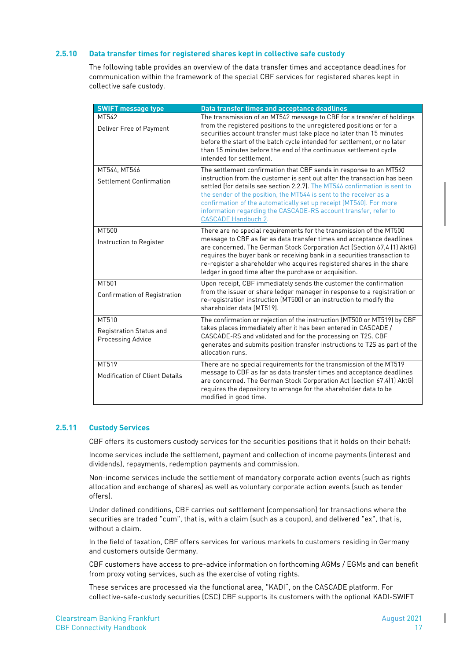#### <span id="page-18-0"></span>**2.5.10 Data transfer times for registered shares kept in collective safe custody**

The following table provides an overview of the data transfer times and acceptance deadlines for communication within the framework of the special CBF services for registered shares kept in collective safe custody.

| <b>SWIFT message type</b>                             | Data transfer times and acceptance deadlines                                                                                                                                                                                                                                                                                                                                                                                                                              |
|-------------------------------------------------------|---------------------------------------------------------------------------------------------------------------------------------------------------------------------------------------------------------------------------------------------------------------------------------------------------------------------------------------------------------------------------------------------------------------------------------------------------------------------------|
| MT542<br>Deliver Free of Payment                      | The transmission of an MT542 message to CBF for a transfer of holdings<br>from the registered positions to the unregistered positions or for a<br>securities account transfer must take place no later than 15 minutes<br>before the start of the batch cycle intended for settlement, or no later<br>than 15 minutes before the end of the continuous settlement cycle<br>intended for settlement.                                                                       |
| MT544, MT546<br>Settlement Confirmation               | The settlement confirmation that CBF sends in response to an MT542<br>instruction from the customer is sent out after the transaction has been<br>settled (for details see section 2.2.7). The MT546 confirmation is sent to<br>the sender of the position, the MT544 is sent to the receiver as a<br>confirmation of the automatically set up receipt (MT540). For more<br>information regarding the CASCADE-RS account transfer, refer to<br><b>CASCADE Handbuch 2.</b> |
| MT500<br>Instruction to Register                      | There are no special requirements for the transmission of the MT500<br>message to CBF as far as data transfer times and acceptance deadlines<br>are concerned. The German Stock Corporation Act (Section 67,4 (1) AktG)<br>requires the buyer bank or receiving bank in a securities transaction to<br>re-register a shareholder who acquires registered shares in the share<br>ledger in good time after the purchase or acquisition.                                    |
| MT501<br><b>Confirmation of Registration</b>          | Upon receipt, CBF immediately sends the customer the confirmation<br>from the issuer or share ledger manager in response to a registration or<br>re-registration instruction (MT500) or an instruction to modify the<br>shareholder data (MT519).                                                                                                                                                                                                                         |
| MT510<br>Registration Status and<br>Processing Advice | The confirmation or rejection of the instruction (MT500 or MT519) by CBF<br>takes places immediately after it has been entered in CASCADE /<br>CASCADE-RS and validated and for the processing on T2S. CBF<br>generates and submits position transfer instructions to T2S as part of the<br>allocation runs.                                                                                                                                                              |
| MT519<br><b>Modification of Client Details</b>        | There are no special requirements for the transmission of the MT519<br>message to CBF as far as data transfer times and acceptance deadlines<br>are concerned. The German Stock Corporation Act (section 67,4(1) AktG)<br>requires the depository to arrange for the shareholder data to be<br>modified in good time.                                                                                                                                                     |

#### <span id="page-18-1"></span>**2.5.11 Custody Services**

CBF offers its customers custody services for the securities positions that it holds on their behalf:

Income services include the settlement, payment and collection of income payments (interest and dividends), repayments, redemption payments and commission.

Non-income services include the settlement of mandatory corporate action events (such as rights allocation and exchange of shares) as well as voluntary corporate action events (such as tender offers).

Under defined conditions, CBF carries out settlement (compensation) for transactions where the securities are traded "cum", that is, with a claim (such as a coupon), and delivered "ex", that is, without a claim.

In the field of taxation, CBF offers services for various markets to customers residing in Germany and customers outside Germany.

CBF customers have access to pre-advice information on forthcoming AGMs / EGMs and can benefit from proxy voting services, such as the exercise of voting rights.

These services are processed via the functional area, "KADI", on the CASCADE platform. For collective-safe-custody securities (CSC) CBF supports its customers with the optional KADI-SWIFT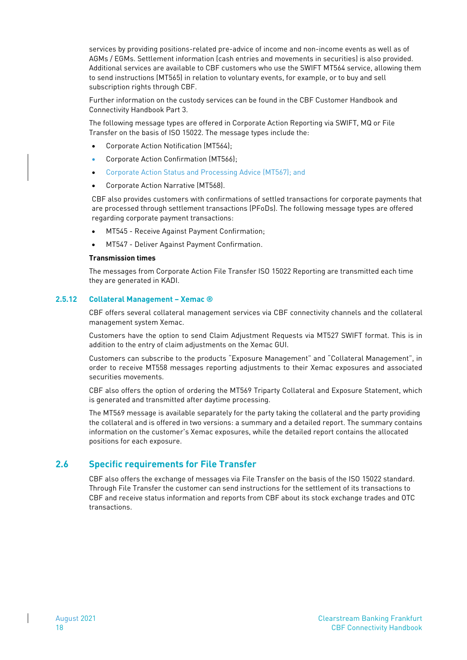services by providing positions-related pre-advice of income and non-income events as well as of AGMs / EGMs. Settlement information (cash entries and movements in securities) is also provided. Additional services are available to CBF customers who use the SWIFT MT564 service, allowing them to send instructions (MT565) in relation to voluntary events, for example, or to buy and sell subscription rights through CBF.

Further information on the custody services can be found in the CBF Customer Handbook and Connectivity Handbook Part 3.

The following message types are offered in Corporate Action Reporting via SWIFT, MQ or File Transfer on the basis of ISO 15022. The message types include the:

- Corporate Action Notification (MT564);
- Corporate Action Confirmation (MT566);
- Corporate Action Status and Processing Advice (MT567); and
- Corporate Action Narrative (MT568).

CBF also provides customers with confirmations of settled transactions for corporate payments that are processed through settlement transactions (PFoDs). The following message types are offered regarding corporate payment transactions:

- MT545 Receive Against Payment Confirmation;
- MT547 Deliver Against Payment Confirmation.

#### **Transmission times**

The messages from Corporate Action File Transfer ISO 15022 Reporting are transmitted each time they are generated in KADI.

#### <span id="page-19-0"></span>**2.5.12 Collateral Management – Xemac ®**

CBF offers several collateral management services via CBF connectivity channels and the collateral management system Xemac.

Customers have the option to send Claim Adjustment Requests via MT527 SWIFT format. This is in addition to the entry of claim adjustments on the Xemac GUI.

Customers can subscribe to the products "Exposure Management" and "Collateral Management", in order to receive MT558 messages reporting adjustments to their Xemac exposures and associated securities movements.

CBF also offers the option of ordering the MT569 Triparty Collateral and Exposure Statement, which is generated and transmitted after daytime processing.

The MT569 message is available separately for the party taking the collateral and the party providing the collateral and is offered in two versions: a summary and a detailed report. The summary contains information on the customer's Xemac exposures, while the detailed report contains the allocated positions for each exposure.

### <span id="page-19-1"></span>**2.6 Specific requirements for File Transfer**

CBF also offers the exchange of messages via File Transfer on the basis of the ISO 15022 standard. Through File Transfer the customer can send instructions for the settlement of its transactions to CBF and receive status information and reports from CBF about its stock exchange trades and OTC transactions.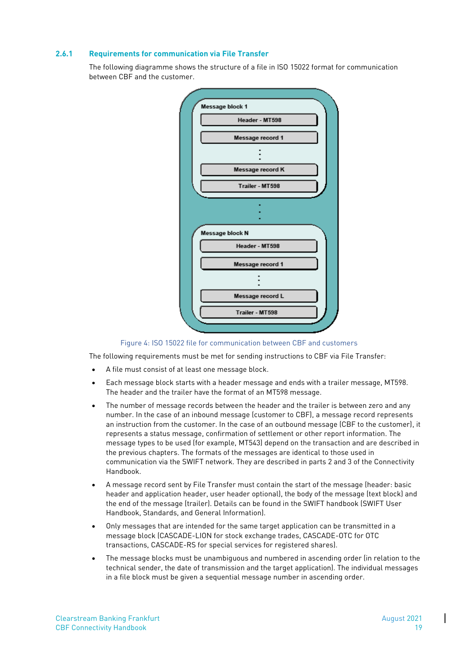#### <span id="page-20-0"></span>**2.6.1 Requirements for communication via File Transfer**

The following diagramme shows the structure of a file in ISO 15022 format for communication between CBF and the customer.



Figure 4: ISO 15022 file for communication between CBF and customers

The following requirements must be met for sending instructions to CBF via File Transfer:

- A file must consist of at least one message block.
- Each message block starts with a header message and ends with a trailer message, MT598. The header and the trailer have the format of an MT598 message.
- The number of message records between the header and the trailer is between zero and any number. In the case of an inbound message (customer to CBF), a message record represents an instruction from the customer. In the case of an outbound message (CBF to the customer), it represents a status message, confirmation of settlement or other report information. The message types to be used (for example, MT543) depend on the transaction and are described in the previous chapters. The formats of the messages are identical to those used in communication via the SWIFT network. They are described in parts 2 and 3 of the Connectivity Handbook.
- A message record sent by File Transfer must contain the start of the message (header: basic header and application header, user header optional), the body of the message (text block) and the end of the message (trailer). Details can be found in the SWIFT handbook (SWIFT User Handbook, Standards, and General Information).
- Only messages that are intended for the same target application can be transmitted in a message block (CASCADE-LION for stock exchange trades, CASCADE-OTC for OTC transactions, CASCADE-RS for special services for registered shares).
- The message blocks must be unambiguous and numbered in ascending order (in relation to the technical sender, the date of transmission and the target application). The individual messages in a file block must be given a sequential message number in ascending order.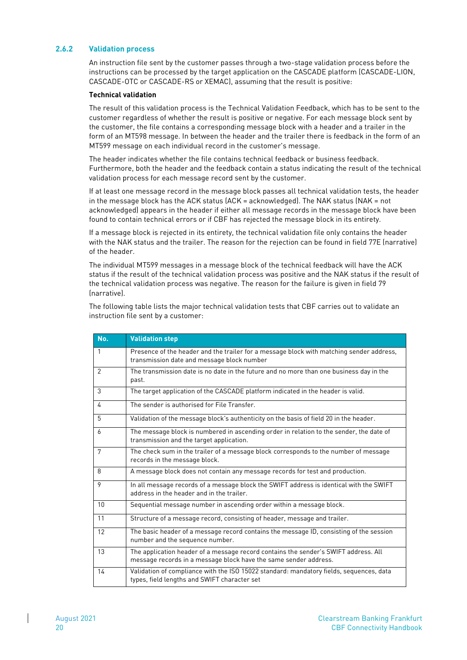#### <span id="page-21-0"></span>**2.6.2 Validation process**

An instruction file sent by the customer passes through a two-stage validation process before the instructions can be processed by the target application on the CASCADE platform (CASCADE-LION, CASCADE-OTC or CASCADE-RS or XEMAC), assuming that the result is positive:

#### **Technical validation**

The result of this validation process is the Technical Validation Feedback, which has to be sent to the customer regardless of whether the result is positive or negative. For each message block sent by the customer, the file contains a corresponding message block with a header and a trailer in the form of an MT598 message. In between the header and the trailer there is feedback in the form of an MT599 message on each individual record in the customer's message.

The header indicates whether the file contains technical feedback or business feedback. Furthermore, both the header and the feedback contain a status indicating the result of the technical validation process for each message record sent by the customer.

If at least one message record in the message block passes all technical validation tests, the header in the message block has the ACK status (ACK = acknowledged). The NAK status (NAK = not acknowledged) appears in the header if either all message records in the message block have been found to contain technical errors or if CBF has rejected the message block in its entirety.

If a message block is rejected in its entirety, the technical validation file only contains the header with the NAK status and the trailer. The reason for the rejection can be found in field 77E (narrative) of the header.

The individual MT599 messages in a message block of the technical feedback will have the ACK status if the result of the technical validation process was positive and the NAK status if the result of the technical validation process was negative. The reason for the failure is given in field 79 (narrative).

The following table lists the major technical validation tests that CBF carries out to validate an instruction file sent by a customer:

| No. | <b>Validation step</b>                                                                                                                                  |
|-----|---------------------------------------------------------------------------------------------------------------------------------------------------------|
| 1   | Presence of the header and the trailer for a message block with matching sender address,<br>transmission date and message block number                  |
| 2   | The transmission date is no date in the future and no more than one business day in the<br>past.                                                        |
| 3   | The target application of the CASCADE platform indicated in the header is valid.                                                                        |
| 4   | The sender is authorised for File Transfer.                                                                                                             |
| 5   | Validation of the message block's authenticity on the basis of field 20 in the header.                                                                  |
| 6   | The message block is numbered in ascending order in relation to the sender, the date of<br>transmission and the target application.                     |
| 7   | The check sum in the trailer of a message block corresponds to the number of message<br>records in the message block.                                   |
| 8   | A message block does not contain any message records for test and production.                                                                           |
| 9   | In all message records of a message block the SWIFT address is identical with the SWIFT<br>address in the header and in the trailer.                    |
| 10  | Sequential message number in ascending order within a message block.                                                                                    |
| 11  | Structure of a message record, consisting of header, message and trailer.                                                                               |
| 12  | The basic header of a message record contains the message ID, consisting of the session<br>number and the sequence number.                              |
| 13  | The application header of a message record contains the sender's SWIFT address. All<br>message records in a message block have the same sender address. |
| 14  | Validation of compliance with the ISO 15022 standard: mandatory fields, sequences, data<br>types, field lengths and SWIFT character set                 |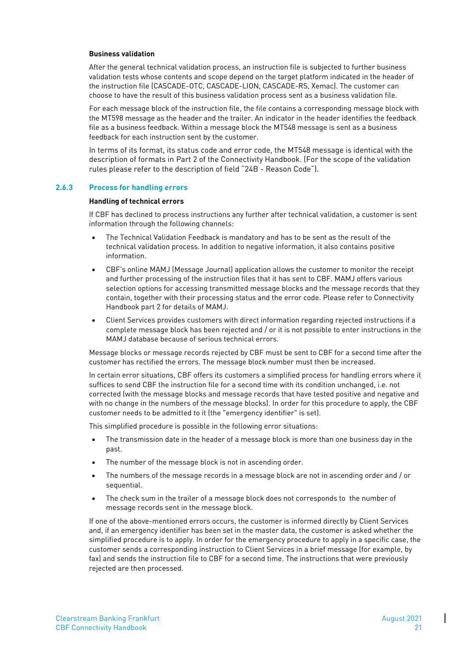#### **Business validation**

After the general technical validation process, an instruction file is subjected to further business validation tests whose contents and scope depend on the target platform indicated in the header of the instruction file (CASCADE-OTC, CASCADE-LION, CASCADE-RS, Xemac). The customer can choose to have the result of this business validation process sent as a business validation file.

For each message block of the instruction file, the file contains a corresponding message block with the MT598 message as the header and the trailer. An indicator in the header identifies the feedback file as a business feedback. Within a message block the MT548 message is sent as a business feedback for each instruction sent by the customer.

In terms of its format, its status code and error code, the MT548 message is identical with the description of formats in Part 2 of the Connectivity Handbook. (For the scope of the validation rules please refer to the description of field "24B - Reason Code").

#### <span id="page-22-0"></span>**2.6.3 Process for handling errors**

#### **Handling of technical errors**

If CBF has declined to process instructions any further after technical validation, a customer is sent information through the following channels:

- The Technical Validation Feedback is mandatory and has to be sent as the result of the technical validation process. In addition to negative information, it also contains positive information.
- CBF's online MAMJ (Message Journal) application allows the customer to monitor the receipt and further processing of the instruction files that it has sent to CBF. MAMJ offers various selection options for accessing transmitted message blocks and the message records that they contain, together with their processing status and the error code. Please refer to Connectivity Handbook part 2 for details of MAMJ.
- Client Services provides customers with direct information regarding rejected instructions if a complete message block has been rejected and / or it is not possible to enter instructions in the MAMJ database because of serious technical errors.

Message blocks or message records rejected by CBF must be sent to CBF for a second time after the customer has rectified the errors. The message block number must then be increased.

In certain error situations, CBF offers its customers a simplified process for handling errors where it suffices to send CBF the instruction file for a second time with its condition unchanged, i.e. not corrected (with the message blocks and message records that have tested positive and negative and with no change in the numbers of the message blocks). In order for this procedure to apply, the CBF customer needs to be admitted to it (the "emergency identifier" is set).

This simplified procedure is possible in the following error situations:

- The transmission date in the header of a message block is more than one business day in the past.
- The number of the message block is not in ascending order.
- The numbers of the message records in a message block are not in ascending order and / or sequential.
- The check sum in the trailer of a message block does not corresponds to the number of message records sent in the message block.

If one of the above-mentioned errors occurs, the customer is informed directly by Client Services and, if an emergency identifier has been set in the master data, the customer is asked whether the simplified procedure is to apply. In order for the emergency procedure to apply in a specific case, the customer sends a corresponding instruction to Client Services in a brief message (for example, by fax) and sends the instruction file to CBF for a second time. The instructions that were previously rejected are then processed.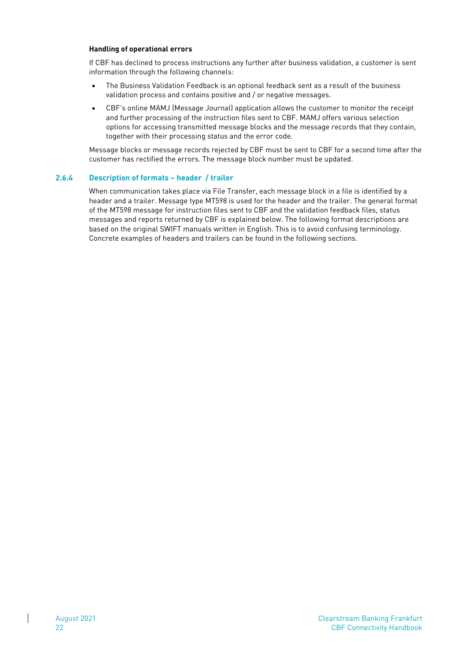#### **Handling of operational errors**

If CBF has declined to process instructions any further after business validation, a customer is sent information through the following channels:

- The Business Validation Feedback is an optional feedback sent as a result of the business validation process and contains positive and / or negative messages.
- CBF's online MAMJ (Message Journal) application allows the customer to monitor the receipt and further processing of the instruction files sent to CBF. MAMJ offers various selection options for accessing transmitted message blocks and the message records that they contain, together with their processing status and the error code.

Message blocks or message records rejected by CBF must be sent to CBF for a second time after the customer has rectified the errors. The message block number must be updated.

#### <span id="page-23-0"></span>**2.6.4 Description of formats – header / trailer**

When communication takes place via File Transfer, each message block in a file is identified by a header and a trailer. Message type MT598 is used for the header and the trailer. The general format of the MT598 message for instruction files sent to CBF and the validation feedback files, status messages and reports returned by CBF is explained below. The following format descriptions are based on the original SWIFT manuals written in English. This is to avoid confusing terminology. Concrete examples of headers and trailers can be found in the following sections.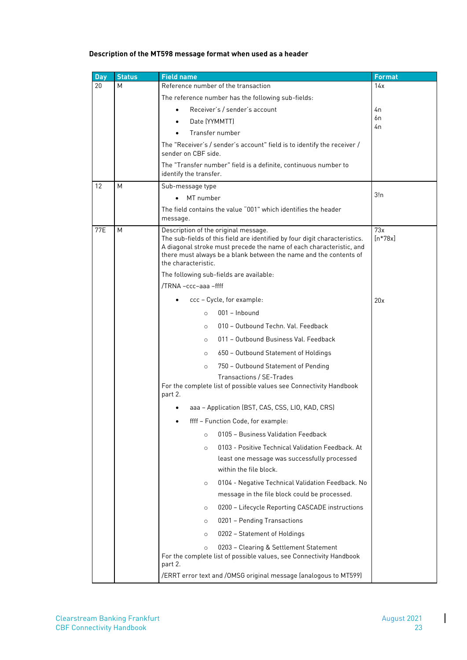#### **Description of the MT598 message format when used as a header**

| Day        | <b>Status</b> | <b>Field name</b>                                                                                                                                                                                                                                                                     | <b>Format</b>    |
|------------|---------------|---------------------------------------------------------------------------------------------------------------------------------------------------------------------------------------------------------------------------------------------------------------------------------------|------------------|
| 20         | М             | Reference number of the transaction                                                                                                                                                                                                                                                   | 14x              |
|            |               | The reference number has the following sub-fields:                                                                                                                                                                                                                                    |                  |
|            |               | Receiver's / sender's account                                                                                                                                                                                                                                                         | 4n               |
|            |               | Date (YYMMTT)                                                                                                                                                                                                                                                                         | 6n<br>4n         |
|            |               | Transfer number                                                                                                                                                                                                                                                                       |                  |
|            |               | The "Receiver's / sender's account" field is to identify the receiver /<br>sender on CBF side.                                                                                                                                                                                        |                  |
|            |               | The "Transfer number" field is a definite, continuous number to<br>identify the transfer.                                                                                                                                                                                             |                  |
| 12         | М             | Sub-message type                                                                                                                                                                                                                                                                      |                  |
|            |               | MT number                                                                                                                                                                                                                                                                             | 3!n              |
|            |               | The field contains the value "001" which identifies the header<br>message.                                                                                                                                                                                                            |                  |
| <b>77E</b> | М             | Description of the original message.<br>The sub-fields of this field are identified by four digit characteristics.<br>A diagonal stroke must precede the name of each characteristic, and<br>there must always be a blank between the name and the contents of<br>the characteristic. | 73x<br>$[n*78x]$ |
|            |               | The following sub-fields are available:                                                                                                                                                                                                                                               |                  |
|            |               | /TRNA -ccc-aaa -ffff                                                                                                                                                                                                                                                                  |                  |
|            |               | ccc - Cycle, for example:                                                                                                                                                                                                                                                             | 20x              |
|            |               | 001 - Inbound<br>$\circ$                                                                                                                                                                                                                                                              |                  |
|            |               | 010 - Outbound Techn, Val. Feedback<br>$\circ$                                                                                                                                                                                                                                        |                  |
|            |               | 011 - Outbound Business Val. Feedback<br>$\circ$                                                                                                                                                                                                                                      |                  |
|            |               | 650 - Outbound Statement of Holdings<br>$\circ$                                                                                                                                                                                                                                       |                  |
|            |               | 750 - Outbound Statement of Pending<br>$\circ$                                                                                                                                                                                                                                        |                  |
|            |               | Transactions / SE-Trades<br>For the complete list of possible values see Connectivity Handbook<br>part 2.                                                                                                                                                                             |                  |
|            |               | aaa - Application (BST, CAS, CSS, LIO, KAD, CRS)                                                                                                                                                                                                                                      |                  |
|            |               | ffff - Function Code, for example:                                                                                                                                                                                                                                                    |                  |
|            |               | 0105 - Business Validation Feedback<br>$\circ$                                                                                                                                                                                                                                        |                  |
|            |               | 0103 - Positive Technical Validation Feedback. At<br>$\circ$                                                                                                                                                                                                                          |                  |
|            |               | least one message was successfully processed<br>within the file block.                                                                                                                                                                                                                |                  |
|            |               | 0104 - Negative Technical Validation Feedback. No<br>$\circ$                                                                                                                                                                                                                          |                  |
|            |               | message in the file block could be processed.                                                                                                                                                                                                                                         |                  |
|            |               | 0200 - Lifecycle Reporting CASCADE instructions<br>$\circ$                                                                                                                                                                                                                            |                  |
|            |               | 0201 - Pending Transactions<br>O                                                                                                                                                                                                                                                      |                  |
|            |               | 0202 - Statement of Holdings<br>$\circ$                                                                                                                                                                                                                                               |                  |
|            |               | 0203 - Clearing & Settlement Statement<br>$\circ$<br>For the complete list of possible values, see Connectivity Handbook                                                                                                                                                              |                  |
|            |               | part 2.<br>/ERRT error text and /OMSG original message (analogous to MT599)                                                                                                                                                                                                           |                  |

 $\begin{array}{c} \hline \end{array}$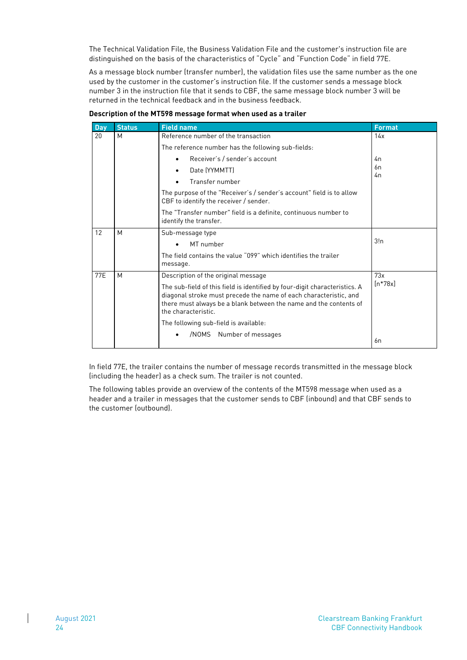The Technical Validation File, the Business Validation File and the customer's instruction file are distinguished on the basis of the characteristics of "Cycle" and "Function Code" in field 77E.

As a message block number (transfer number), the validation files use the same number as the one used by the customer in the customer's instruction file. If the customer sends a message block number 3 in the instruction file that it sends to CBF, the same message block number 3 will be returned in the technical feedback and in the business feedback.

| <b>Day</b> | <b>Status</b> | <b>Field name</b>                                                                                                                                                                                                                           | <b>Format</b> |
|------------|---------------|---------------------------------------------------------------------------------------------------------------------------------------------------------------------------------------------------------------------------------------------|---------------|
| 20         | M             | Reference number of the transaction                                                                                                                                                                                                         | 14x           |
|            |               | The reference number has the following sub-fields:                                                                                                                                                                                          |               |
|            |               | Receiver's / sender's account                                                                                                                                                                                                               | 4n            |
|            |               | Date (YYMMTT)                                                                                                                                                                                                                               | 6n            |
|            |               | Transfer number                                                                                                                                                                                                                             | 4n            |
|            |               | The purpose of the "Receiver's / sender's account" field is to allow<br>CBF to identify the receiver / sender.                                                                                                                              |               |
|            |               | The "Transfer number" field is a definite, continuous number to<br>identify the transfer.                                                                                                                                                   |               |
| 12         | M             | Sub-message type                                                                                                                                                                                                                            |               |
|            |               | MT number                                                                                                                                                                                                                                   | 3!n           |
|            |               | The field contains the value "099" which identifies the trailer                                                                                                                                                                             |               |
|            |               | message.                                                                                                                                                                                                                                    |               |
| 77E        | M             | Description of the original message                                                                                                                                                                                                         | 73x           |
|            |               | The sub-field of this field is identified by four-digit characteristics. A<br>diagonal stroke must precede the name of each characteristic, and<br>there must always be a blank between the name and the contents of<br>the characteristic. | $[n*78x]$     |
|            |               | The following sub-field is available:                                                                                                                                                                                                       |               |
|            |               | /NOMS Number of messages                                                                                                                                                                                                                    | 6n            |

**Description of the MT598 message format when used as a trailer**

In field 77E, the trailer contains the number of message records transmitted in the message block (including the header) as a check sum. The trailer is not counted.

The following tables provide an overview of the contents of the MT598 message when used as a header and a trailer in messages that the customer sends to CBF (inbound) and that CBF sends to the customer (outbound).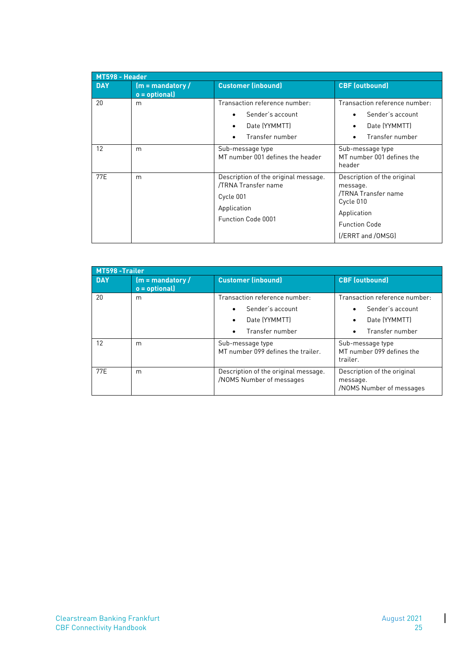| MT598 - Header |                                       |                                                                                                               |                                                                                                                                         |  |
|----------------|---------------------------------------|---------------------------------------------------------------------------------------------------------------|-----------------------------------------------------------------------------------------------------------------------------------------|--|
| <b>DAY</b>     | $(m = mandatory /$<br>$o =$ optional) | <b>Customer (inbound)</b>                                                                                     | <b>CBF</b> (outbound)                                                                                                                   |  |
| 20             | m                                     | Transaction reference number:<br>Sender's account<br>Date (YYMMTT)<br>٠<br>Transfer number                    | Transaction reference number:<br>Sender's account<br>Date (YYMMTT)<br>Transfer number                                                   |  |
| 12             | m                                     | Sub-message type<br>MT number 001 defines the header                                                          | Sub-message type<br>MT number 001 defines the<br>header                                                                                 |  |
| 77E            | m                                     | Description of the original message.<br>/TRNA Transfer name<br>Cycle 001<br>Application<br>Function Code 0001 | Description of the original<br>message.<br>/TRNA Transfer name<br>Cycle 010<br>Application<br><b>Function Code</b><br>[/ERRT and /OMSG] |  |

| MT598-Trailer |                                      |                                                                                                                              |                                                                                       |  |
|---------------|--------------------------------------|------------------------------------------------------------------------------------------------------------------------------|---------------------------------------------------------------------------------------|--|
| <b>DAY</b>    | $(m =$ mandatory/<br>$o =$ optional) | <b>Customer (inbound)</b>                                                                                                    | <b>CBF</b> (outbound)                                                                 |  |
| 20            | m                                    | Transaction reference number:<br>Sender's account<br>$\bullet$<br>Date (YYMMTT)<br>$\bullet$<br>Transfer number<br>$\bullet$ | Transaction reference number:<br>Sender's account<br>Date (YYMMTT)<br>Transfer number |  |
| 12            | m                                    | Sub-message type<br>MT number 099 defines the trailer.                                                                       | Sub-message type<br>MT number 099 defines the<br>trailer.                             |  |
| 77F           | m                                    | Description of the original message.<br>/NOMS Number of messages                                                             | Description of the original<br>message.<br>/NOMS Number of messages                   |  |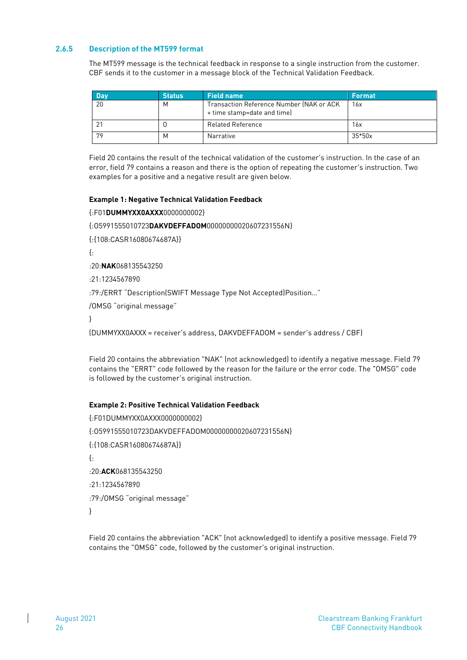#### <span id="page-27-0"></span>**2.6.5 Description of the MT599 format**

The MT599 message is the technical feedback in response to a single instruction from the customer. CBF sends it to the customer in a message block of the Technical Validation Feedback.

| <b>Day</b> | <b>Status</b> | Eield name                                                              | Format   |
|------------|---------------|-------------------------------------------------------------------------|----------|
| 20         | М             | Transaction Reference Number (NAK or ACK<br>+ time stamp=date and time) | 16x      |
|            |               | <b>Related Reference</b>                                                | 16x      |
| 79         | М             | Narrative                                                               | $35*50x$ |

Field 20 contains the result of the technical validation of the customer's instruction. In the case of an error, field 79 contains a reason and there is the option of repeating the customer's instruction. Two examples for a positive and a negative result are given below.

#### **Example 1: Negative Technical Validation Feedback**

{:F01**DUMMYXX0AXXX**0000000002}

{:O5991555010723**DAKVDEFFADOM**00000000020607231556N}

{:{108:CASR16080674687A}}

{:

:20:**NAK**068135543250

:21:1234567890

:79:/ERRT "Description(SWIFT Message Type Not Accepted)Position…"

/OMSG "original message"

}

(DUMMYXX0AXXX = receiver's address, DAKVDEFFADOM = sender's address / CBF)

Field 20 contains the abbreviation "NAK" (not acknowledged) to identify a negative message. Field 79 contains the "ERRT" code followed by the reason for the failure or the error code. The "OMSG" code is followed by the customer's original instruction.

#### **Example 2: Positive Technical Validation Feedback**

{:F01DUMMYXX0AXXX0000000002} {:O5991555010723DAKVDEFFADOM00000000020607231556N} {:{108:CASR16080674687A}} {: :20:**ACK**068135543250 :21:1234567890 :79:/OMSG "original message" }

Field 20 contains the abbreviation "ACK" (not acknowledged) to identify a positive message. Field 79 contains the "OMSG" code, followed by the customer's original instruction.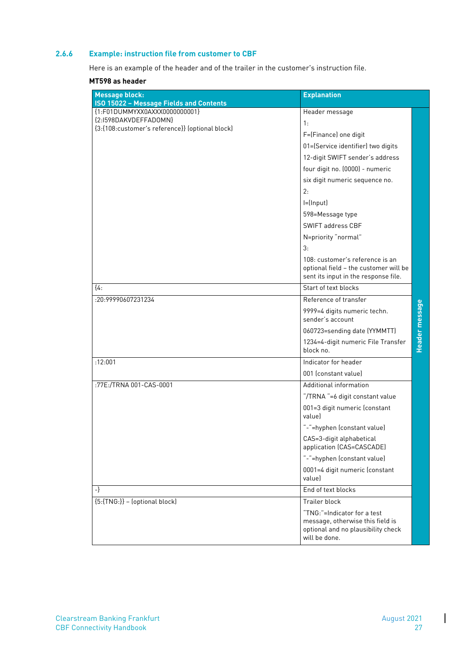#### <span id="page-28-0"></span>**2.6.6 Example: instruction file from customer to CBF**

Here is an example of the header and of the trailer in the customer's instruction file.

### **MT598 as header**

| <b>Message block:</b>                                                    | <b>Explanation</b>                                                                                                     |                |
|--------------------------------------------------------------------------|------------------------------------------------------------------------------------------------------------------------|----------------|
| ISO 15022 - Message Fields and Contents<br>{1:F01DUMMYXX0AXXX0000000001} | Header message                                                                                                         |                |
| {2:I598DAKVDEFFADOMN}                                                    | 1:                                                                                                                     |                |
| {3:{108:customer's reference}} (optional block)                          | F=(Finance) one digit                                                                                                  |                |
|                                                                          | 01=(Service identifier) two digits                                                                                     |                |
|                                                                          | 12-digit SWIFT sender's address                                                                                        |                |
|                                                                          | four digit no. (0000) - numeric                                                                                        |                |
|                                                                          | six digit numeric sequence no.                                                                                         |                |
|                                                                          | 2:                                                                                                                     |                |
|                                                                          | $I = (Input)$                                                                                                          |                |
|                                                                          | 598=Message type                                                                                                       |                |
|                                                                          | SWIFT address CBF                                                                                                      |                |
|                                                                          | N=priority "normal"                                                                                                    |                |
|                                                                          | 3:                                                                                                                     |                |
|                                                                          | 108: customer's reference is an<br>optional field - the customer will be<br>sent its input in the response file.       |                |
| [4:                                                                      | Start of text blocks                                                                                                   |                |
| :20:99990607231234                                                       | Reference of transfer                                                                                                  |                |
|                                                                          | 9999=4 digits numeric techn.<br>sender's account                                                                       | Header message |
|                                                                          | 060723=sending date (YYMMTT)                                                                                           |                |
|                                                                          | 1234=4-digit numeric File Transfer<br>block no.                                                                        |                |
| :12:001                                                                  | Indicator for header                                                                                                   |                |
|                                                                          | 001 (constant value)                                                                                                   |                |
| :77E:/TRNA 001-CAS-0001                                                  | Additional information                                                                                                 |                |
|                                                                          | "/TRNA "=6 digit constant value                                                                                        |                |
|                                                                          | 001=3 digit numeric (constant<br>valuel                                                                                |                |
|                                                                          | "-"=hyphen (constant value)                                                                                            |                |
|                                                                          | CAS=3-digit alphabetical<br>application (CAS=CASCADE)                                                                  |                |
|                                                                          | "-"=hyphen (constant value)                                                                                            |                |
|                                                                          | 0001=4 digit numeric (constant<br>valuel                                                                               |                |
| $-\}$                                                                    | End of text blocks                                                                                                     |                |
| ${5:\}TNG:\}$ - (optional block)                                         | Trailer block                                                                                                          |                |
|                                                                          | "TNG:"=Indicator for a test<br>message, otherwise this field is<br>optional and no plausibility check<br>will be done. |                |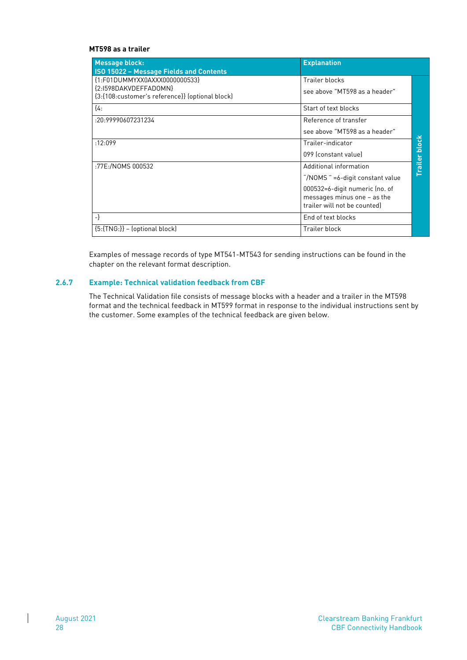#### **MT598 as a trailer**

| Message block:<br><b>ISO 15022 - Message Fields and Contents</b>                                          | <b>Explanation</b>                                                                                                                                            |                 |
|-----------------------------------------------------------------------------------------------------------|---------------------------------------------------------------------------------------------------------------------------------------------------------------|-----------------|
| {1:F01DUMMYXX0AXXX0000000533}<br>{2:1598DAKVDEFFADOMN}<br>{3:{108:customer's reference}} (optional block) | Trailer blocks<br>see above "MT598 as a header"                                                                                                               |                 |
| ${4.1}$                                                                                                   | Start of text blocks                                                                                                                                          |                 |
| :20:99990607231234                                                                                        | Reference of transfer<br>see above "MT598 as a header"                                                                                                        |                 |
| :12:099                                                                                                   | Trailer-indicator<br>099 (constant value)                                                                                                                     | block           |
| :77E:/NOMS 000532                                                                                         | Additional information<br>"/NOMS " =6-digit constant value<br>000532=6-digit numeric (no. of<br>messages minus one $-$ as the<br>trailer will not be counted) | <b>Trailler</b> |
| $-\}$                                                                                                     | End of text blocks                                                                                                                                            |                 |
| ${5:}$ {TNG $:$ }} – (optional block)                                                                     | Trailer block                                                                                                                                                 |                 |

Examples of message records of type MT541-MT543 for sending instructions can be found in the chapter on the relevant format description.

#### <span id="page-29-0"></span>**2.6.7 Example: Technical validation feedback from CBF**

The Technical Validation file consists of message blocks with a header and a trailer in the MT598 format and the technical feedback in MT599 format in response to the individual instructions sent by the customer. Some examples of the technical feedback are given below.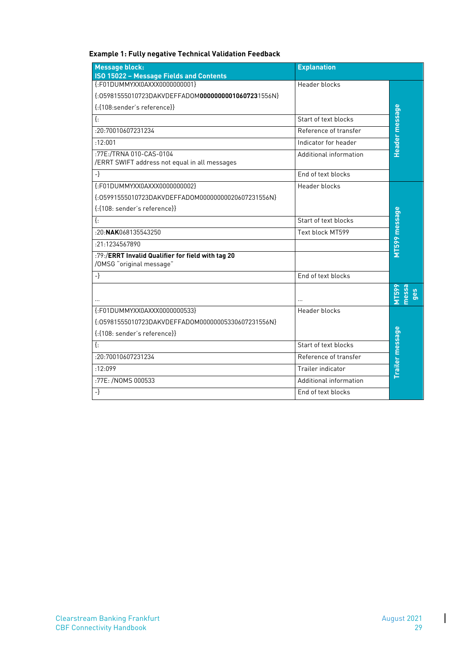| <b>Message block:</b><br><b>ISO 15022 - Message Fields and Contents</b>                                              | <b>Explanation</b>     |                             |
|----------------------------------------------------------------------------------------------------------------------|------------------------|-----------------------------|
| {:F01DUMMYXX0AXXX0000000001}<br>{:05981555010723DAKVDEFFADOM000000000010607231556N}<br>{: {108: sender's reference}} | Header blocks          |                             |
| $\{\cdot\}$                                                                                                          | Start of text blocks   |                             |
| :20:70010607231234                                                                                                   | Reference of transfer  |                             |
| :12:001                                                                                                              | Indicator for header   | Header message              |
| :77E:/TRNA 010-CAS-0104<br>/ERRT SWIFT address not equal in all messages                                             | Additional information |                             |
| $-\}$                                                                                                                | End of text blocks     |                             |
| ${F01DUMMYXX0AXXX0000000002}$<br>{:05991555010723DAKVDEFFADOM00000000020607231556N}<br>{: {108: sender's reference}} | Header blocks          |                             |
| $\{\cdot$                                                                                                            | Start of text blocks   |                             |
| $-20$ NAK068135543250                                                                                                | Text block MT599       | MT599 message               |
| :21:1234567890                                                                                                       |                        |                             |
| :79:/ERRT Invalid Qualifier for field with tag 20<br>/OMSG "original message"                                        |                        |                             |
| -}                                                                                                                   | End of text blocks     |                             |
|                                                                                                                      | $\cdot$ $\cdot$        | nessa<br><b>MT59</b><br>ges |
| {:F01DUMMYXX0AXXX0000000533}<br>{:05981555010723DAKVDEFFADOM00000005330607231556N}                                   | Header blocks          |                             |
| {: {108: sender's reference}}                                                                                        |                        |                             |
| $\{\cdot\}$                                                                                                          | Start of text blocks   |                             |
| :20:70010607231234                                                                                                   | Reference of transfer  | Trailer message             |
| :12:099                                                                                                              | Trailer indicator      |                             |
| :77E: /NOMS 000533                                                                                                   | Additional information |                             |
| -}                                                                                                                   | End of text blocks     |                             |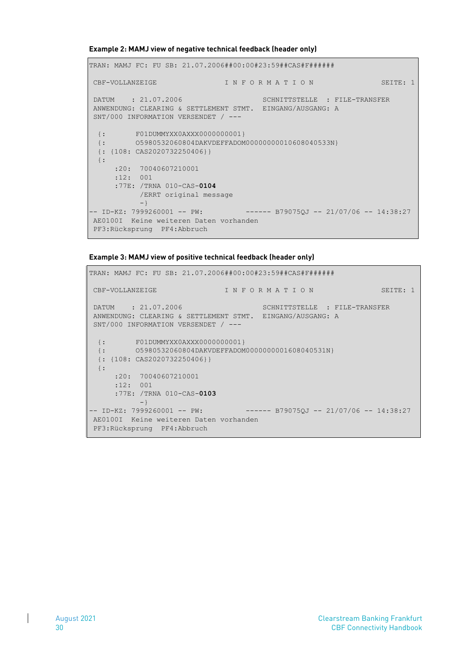**Example 2: MAMJ view of negative technical feedback (header only)**

```
TRAN: MAMJ FC: FU SB: 21.07.2006##00:00#23:59##CAS#F###### 
CBF-VOLLANZEIGE I N F O R M A T I O N SEITE: 1
DATUM : 21.07.2006 SCHNITTSTELLE : FILE-TRANSFER
ANWENDUNG: CLEARING & SETTLEMENT STMT. EINGANG/AUSGANG: A 
SNT/000 INFORMATION VERSENDET / --- 
  {: F01DUMMYXX0AXXX0000000001} 
  {: O5980532060804DAKVDEFFADOM00000000010608040533N} 
  {: {108: CAS2020732250406}} 
  {: 
     :20: 70040607210001 
     :12: 001 
      :77E: /TRNA 010-CAS-0104 
           /ERRT original message
          -}
-- ID-KZ: 7999260001 -- PW: ------ B79075QJ -- 21/07/06 -- 14:38:27 
AE0100I Keine weiteren Daten vorhanden 
PF3:Rücksprung PF4:Abbruch
```

```
Example 3: MAMJ view of positive technical feedback (header only)
```

```
TRAN: MAMJ FC: FU SB: 21.07.2006##00:00#23:59##CAS#F###### 
CBF-VOLLANZEIGE I N F O R M A T I O N SEITE: 1
DATUM : 21.07.2006 SCHNITTSTELLE : FILE-TRANSFER
ANWENDUNG: CLEARING & SETTLEMENT STMT. EINGANG/AUSGANG: A 
SNT/000 INFORMATION VERSENDET / --- 
  {: F01DUMMYXX0AXXX0000000001} 
 {: FULDERTARUMAND COOLSTER 7<br>{: 05980532060804DAKVDEFFADOM00000000001608040531N}
  {: {108: CAS2020732250406}} 
  {: 
      :20: 70040607210001 
      :12: 001 
      :77E: /TRNA 010-CAS-0103 
           -}
-- ID-KZ: 7999260001 -- PW: ------ B79075QJ -- 21/07/06 -- 14:38:27
AE0100I Keine weiteren Daten vorhanden 
PF3:Rücksprung PF4:Abbruch
```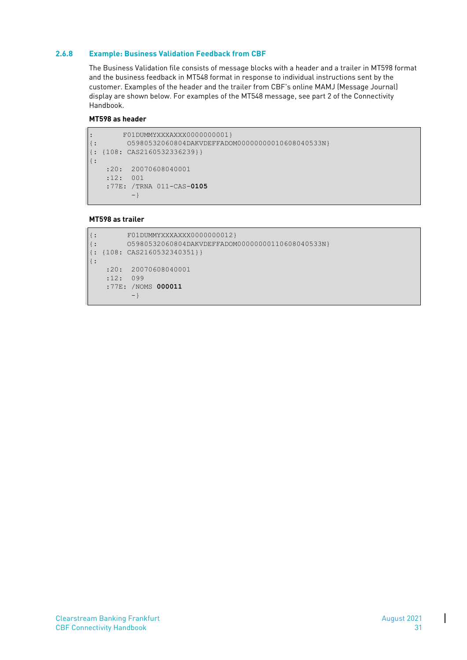#### <span id="page-32-0"></span>**2.6.8 Example: Business Validation Feedback from CBF**

The Business Validation file consists of message blocks with a header and a trailer in MT598 format and the business feedback in MT548 format in response to individual instructions sent by the customer. Examples of the header and the trailer from CBF's online MAMJ (Message Journal) display are shown below. For examples of the MT548 message, see part 2 of the Connectivity Handbook.

#### **MT598 as header**

```
: F01DUMMYXXXAXXX0000000001} 
{: O5980532060804DAKVDEFFADOM00000000010608040533N} 
{: {108: CAS2160532336239}} 
{: 
    :20: 20070608040001 
    :12: 001 
     :77E: /TRNA 011-CAS-0105 
          -}
```
#### **MT598 as trailer**

```
{: F01DUMMYXXXAXXX0000000012} 
{: O5980532060804DAKVDEFFADOM00000000110608040533N} 
{: {108: CAS2160532340351}} 
{: 
     :20: 20070608040001 
     :12: 099 
     :77E: /NOMS 000011 
          -}
```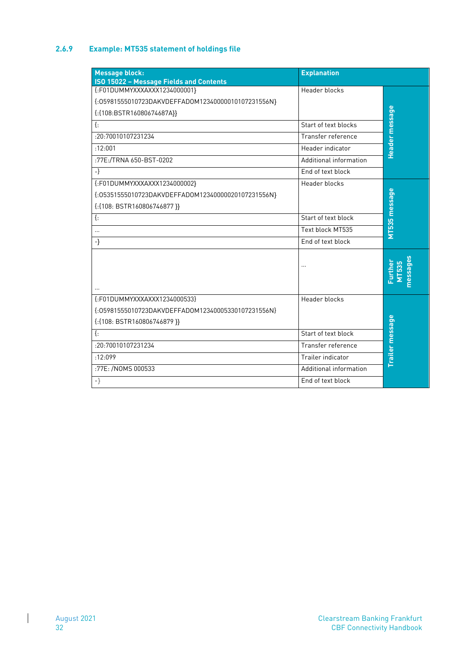# <span id="page-33-0"></span>**2.6.9 Example: MT535 statement of holdings file**

| <b>Message block:</b>                                                                                                         | <b>Explanation</b>     |                              |
|-------------------------------------------------------------------------------------------------------------------------------|------------------------|------------------------------|
| ISO 15022 - Message Fields and Contents<br>{:F01DUMMYXXXAXXX1234000001}<br>{:05981555010723DAKVDEFFADOM12340000010107231556N} | Header blocks          |                              |
| {:{108:BSTR16080674687A}}                                                                                                     |                        | Header message               |
| $\{\cdot\}$                                                                                                                   | Start of text blocks   |                              |
| :20:70010107231234                                                                                                            | Transfer reference     |                              |
| :12:001                                                                                                                       | Header indicator       |                              |
| :77E:/TRNA 650-BST-0202                                                                                                       | Additional information |                              |
| $-\}$                                                                                                                         | End of text block      |                              |
| {:F01DUMMYXXXAXXX1234000002}                                                                                                  | <b>Header blocks</b>   |                              |
| {:05351555010723DAKVDEFFADOM12340000020107231556N}                                                                            |                        |                              |
| {:{108: BSTR160806746877 }}                                                                                                   |                        |                              |
| $\{\cdot\}$                                                                                                                   | Start of text block    |                              |
| $\sim$                                                                                                                        | Text block MT535       | MT535 message                |
| $-\}$                                                                                                                         | End of text block      |                              |
|                                                                                                                               |                        | nessages<br>Further<br>MT535 |
| {:F01DUMMYXXXAXXX1234000533}                                                                                                  | <b>Header blocks</b>   |                              |
| {:05981555010723DAKVDEFFADOM12340005330107231556N}                                                                            |                        |                              |
| {:{108: BSTR160806746879 }}                                                                                                   |                        |                              |
| $\{\cdot\}$                                                                                                                   | Start of text block    |                              |
| :20:70010107231234                                                                                                            | Transfer reference     | Trailer message              |
| :12:099                                                                                                                       | Trailer indicator      |                              |
| :77E: /NOMS 000533                                                                                                            | Additional information |                              |
| $- \}$                                                                                                                        | End of text block      |                              |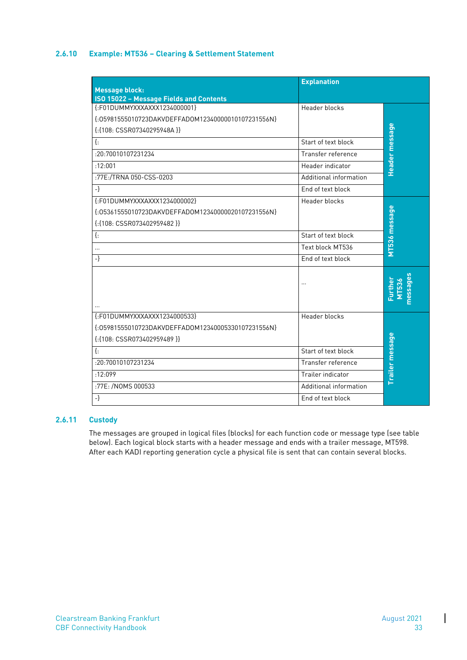### <span id="page-34-0"></span>**2.6.10 Example: MT536 – Clearing & Settlement Statement**

| <b>Message block:</b>                              | <b>Explanation</b>     |                              |
|----------------------------------------------------|------------------------|------------------------------|
| <b>ISO 15022 - Message Fields and Contents</b>     |                        |                              |
| {:F01DUMMYXXXAXXX1234000001}                       | Header blocks          |                              |
| {:05981555010723DAKVDEFFADOM12340000010107231556N} |                        |                              |
| {:{108: CSSR07340295948A }}                        |                        |                              |
| $\{\cdot\}$                                        | Start of text block    | Header message               |
| :20:70010107231234                                 | Transfer reference     |                              |
| :12:001                                            | Header indicator       |                              |
| :77E:/TRNA 050-CSS-0203                            | Additional information |                              |
| $-\}$                                              | End of text block      |                              |
| {:F01DUMMYXXXAXXX1234000002}                       | Header blocks          |                              |
| {:05361555010723DAKVDEFFADOM12340000020107231556N} |                        |                              |
| {:{108: CSSR073402959482 }}                        |                        |                              |
| $\{\cdot\}$                                        | Start of text block    | MT536 message                |
| $\cdots$                                           | Text block MT536       |                              |
| $-\}$                                              | End of text block      |                              |
|                                                    | $\cdot \cdot$          | nessages<br>Further<br>MT536 |
| {:F01DUMMYXXXAXXX1234000533}                       | Header blocks          |                              |
| {:05981555010723DAKVDEFFADOM12340005330107231556N} |                        |                              |
| $\{:\{108: \text{CSSR073402959489}\}\}$            |                        |                              |
| $\{\cdot\}$                                        | Start of text block    |                              |
| :20:70010107231234                                 | Transfer reference     |                              |
| :12:099                                            | Trailer indicator      | Trailer message              |
| :77E: /NOMS 000533                                 | Additional information |                              |
| $-\}$                                              | End of text block      |                              |

## <span id="page-34-1"></span>**2.6.11 Custody**

The messages are grouped in logical files (blocks) for each function code or message type (see table below). Each logical block starts with a header message and ends with a trailer message, MT598. After each KADI reporting generation cycle a physical file is sent that can contain several blocks.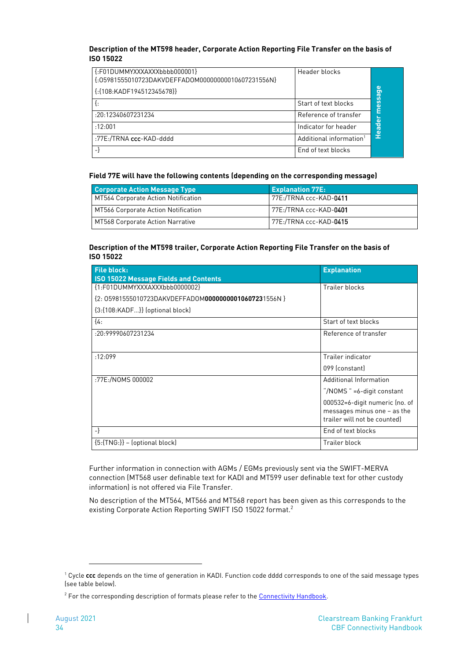#### **Description of the MT598 header, Corporate Action Reporting File Transfer on the basis of ISO 15022**

| $\{F01DUMMYXXXAXXXbbbb0000001\}$<br>{:05981555010723DAKVDEFFADOM00000000010607231556N}<br>{: {108: KADF194512345678}} | Header blocks                       | ω<br><b>De</b>          |
|-----------------------------------------------------------------------------------------------------------------------|-------------------------------------|-------------------------|
|                                                                                                                       | Start of text blocks                | less                    |
| :20:12340607231234                                                                                                    | Reference of transfer               | $\overline{\mathbf{c}}$ |
| :12:001                                                                                                               | Indicator for header                | <b>Head</b>             |
| :77E:/TRNA ccc-KAD-dddd                                                                                               | Additional information <sup>1</sup> |                         |
|                                                                                                                       | End of text blocks                  |                         |

#### **Field 77E will have the following contents (depending on the corresponding message)**

| <b>Corporate Action Message Type</b> | <b>Explanation 77E:</b>        |
|--------------------------------------|--------------------------------|
| MT564 Corporate Action Notification  | 77E:/TRNA ccc-KAD-0411         |
| MT566 Corporate Action Notification  | 77E:/TRNA ccc-KAD- <b>0401</b> |
| MT568 Corporate Action Narrative     | 77E:/TRNA ccc-KAD- <b>0415</b> |

#### **Description of the MT598 trailer, Corporate Action Reporting File Transfer on the basis of ISO 15022**

| <b>File block:</b>                                                            | <b>Explanation</b>                                                                              |
|-------------------------------------------------------------------------------|-------------------------------------------------------------------------------------------------|
| <b>ISO 15022 Message Fields and Contents</b><br>{1:F01DUMMYXXXAXXXbbb0000002} | Trailer blocks                                                                                  |
| {2: 05981555010723DAKVDEFFADOM000000000010607231556N }                        |                                                                                                 |
| {3:{108:KADF}} (optional block)                                               |                                                                                                 |
| $\{4:$                                                                        | Start of text blocks                                                                            |
| :20:99990607231234                                                            | Reference of transfer                                                                           |
|                                                                               |                                                                                                 |
| :12:099                                                                       | Trailer indicator                                                                               |
|                                                                               | 099 (constant)                                                                                  |
| :77E:/NOMS 000002                                                             | Additional Information                                                                          |
|                                                                               | "/NOMS " =6-digit constant                                                                      |
|                                                                               | 000532=6-digit numeric (no. of<br>messages minus one $-$ as the<br>trailer will not be counted) |
| $-\}$                                                                         | End of text blocks                                                                              |
| ${5:}$ {TNG $:$ }} – (optional block)                                         | Trailer block                                                                                   |

Further information in connection with AGMs / EGMs previously sent via the SWIFT-MERVA connection (MT568 user definable text for KADI and MT599 user definable text for other custody information) is not offered via File Transfer.

No description of the MT564, MT566 and MT568 report has been given as this corresponds to the existing Corporate Action Reporting SWIFT ISO 15022 format.<sup>2</sup>

<sup>1</sup> Cycle **ccc** depends on the time of generation in KADI. Function code dddd corresponds to one of the said message types (see table below).

<sup>&</sup>lt;sup>2</sup> For the corresponding description of formats please refer to the [Connectivity Handbook.](http://www.clearstream.com/clearstream-en/products-and-services/connectivity--1-/cascade-via-mq/67014)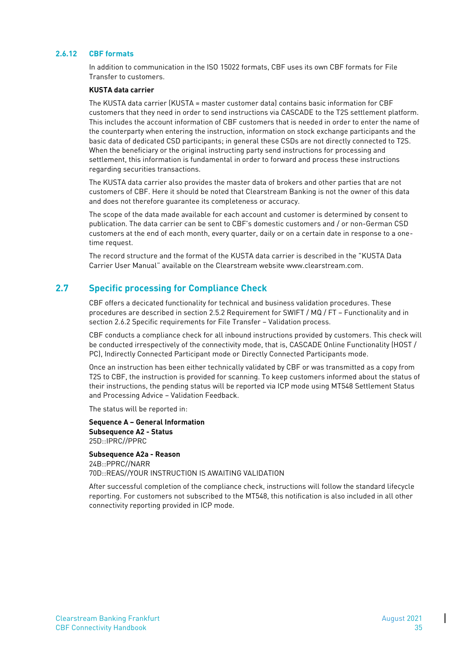#### <span id="page-36-0"></span>**2.6.12 CBF formats**

In addition to communication in the ISO 15022 formats, CBF uses its own CBF formats for File Transfer to customers.

#### **KUSTA data carrier**

The KUSTA data carrier (KUSTA = master customer data) contains basic information for CBF customers that they need in order to send instructions via CASCADE to the T2S settlement platform. This includes the account information of CBF customers that is needed in order to enter the name of the counterparty when entering the instruction, information on stock exchange participants and the basic data of dedicated CSD participants; in general these CSDs are not directly connected to T2S. When the beneficiary or the original instructing party send instructions for processing and settlement, this information is fundamental in order to forward and process these instructions regarding securities transactions.

The KUSTA data carrier also provides the master data of brokers and other parties that are not customers of CBF. Here it should be noted that Clearstream Banking is not the owner of this data and does not therefore guarantee its completeness or accuracy.

The scope of the data made available for each account and customer is determined by consent to publication. The data carrier can be sent to CBF's domestic customers and / or non-German CSD customers at the end of each month, every quarter, daily or on a certain date in response to a onetime request.

The record structure and the format of the KUSTA data carrier is described in the "KUSTA Data Carrier User Manual" available on the Clearstream website [www.clearstream.com.](http://www.clearstream.com/)

#### <span id="page-36-1"></span>**2.7 Specific processing for Compliance Check**

CBF offers a decicated functionality for technical and business validation procedures. These procedures are described in section 2.5.2 Requirement for SWIFT / MQ / FT – Functionality and in section 2.6.2 Specific requirements for File Transfer – Validation process.

CBF conducts a compliance check for all inbound instructions provided by customers. This check will be conducted irrespectively of the connectivity mode, that is, CASCADE Online Functionality (HOST / PC), Indirectly Connected Participant mode or Directly Connected Participants mode.

Once an instruction has been either technically validated by CBF or was transmitted as a copy from T2S to CBF, the instruction is provided for scanning. To keep customers informed about the status of their instructions, the pending status will be reported via ICP mode using MT548 Settlement Status and Processing Advice – Validation Feedback.

The status will be reported in:

**Sequence A – General Information Subsequence A2 - Status** 25D::IPRC//PPRC

**Subsequence A2a - Reason** 24B::PPRC//NARR 70D::REAS//YOUR INSTRUCTION IS AWAITING VALIDATION

After successful completion of the compliance check, instructions will follow the standard lifecycle reporting. For customers not subscribed to the MT548, this notification is also included in all other connectivity reporting provided in ICP mode.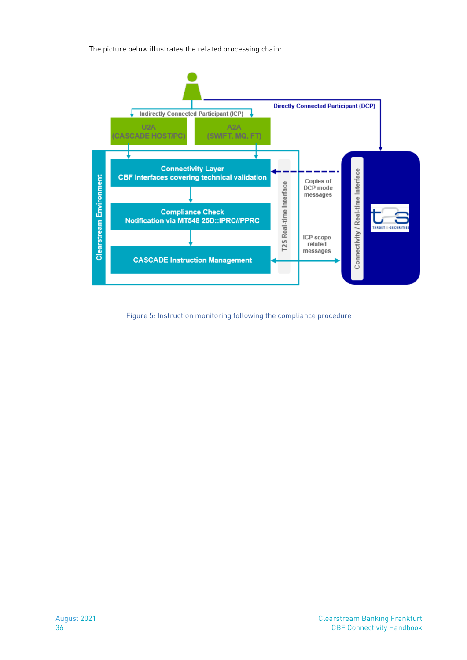The picture below illustrates the related processing chain:



Figure 5: Instruction monitoring following the compliance procedure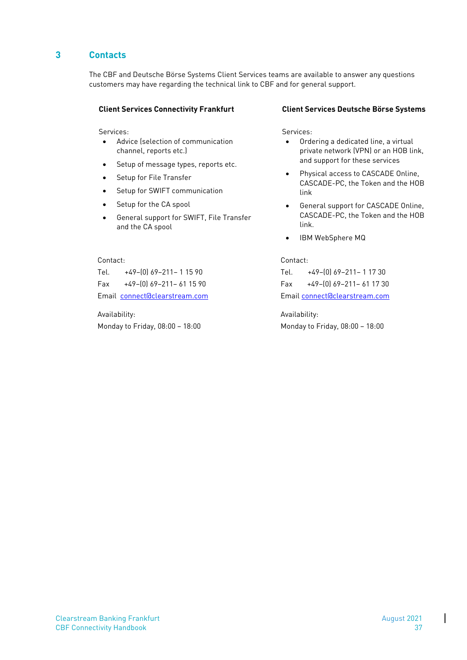# <span id="page-38-0"></span>**3 Contacts**

The CBF and Deutsche Börse Systems Client Services teams are available to answer any questions customers may have regarding the technical link to CBF and for general support.

Services: Services: Services: Services: Services: Services: Services: Services: Services: Services: Services: Services: Services: Services: Services: Services: Services: Services: Services: Services: Services: Services: Se

- Advice (selection of communication channel, reports etc.)
- Setup of message types, reports etc.
- Setup for File Transfer
- Setup for SWIFT communication
- Setup for the CA spool
- General support for SWIFT, File Transfer and the CA spool

#### Contact: Contact:

Tel. +49–(0) 69–211– 1 15 90 Tel. +49–(0) 69–211– 1 17 30 Fax +49–(0) 69–211– 61 15 90 Fax +49–(0) 69–211– 61 17 30

Availability: Availability:

#### **Client Services Connectivity Frankfurt Client Services Deutsche Börse Systems**

- Ordering a dedicated line, a virtual private network (VPN) or an HOB link, and support for these services
- Physical access to CASCADE Online, CASCADE-PC, the Token and the HOB link
- General support for CASCADE Online, CASCADE-PC, the Token and the HOB link.
- IBM WebSphere MQ

Email [connect@clearstream.com](mailto:connect@clearstream.com) Emai[l connect@clearstream.com](mailto:connectfrankfurt@clearstream.com)

Monday to Friday, 08:00 – 18:00 Monday to Friday, 08:00 – 18:00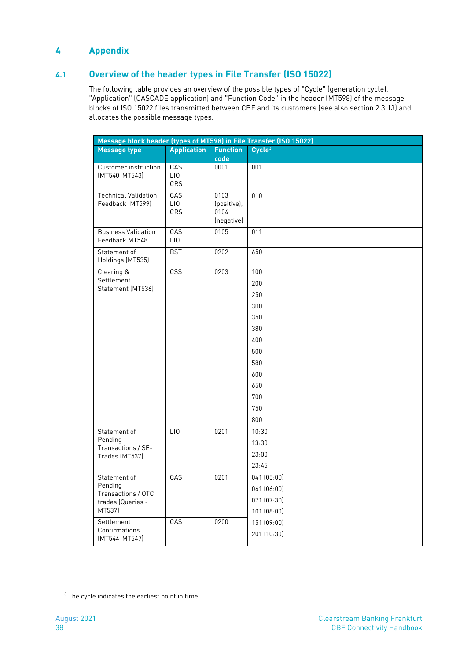# <span id="page-39-0"></span>**4 Appendix**

# <span id="page-39-1"></span>**4.1 Overview of the header types in File Transfer (ISO 15022)**

The following table provides an overview of the possible types of "Cycle" (generation cycle), "Application" (CASCADE application) and "Function Code" in the header (MT598) of the message blocks of ISO 15022 files transmitted between CBF and its customers (see also section 2.3.13) and allocates the possible message types.

| Message block header (types of MT598) in File Transfer (ISO 15022) |                    |                                           |                    |  |
|--------------------------------------------------------------------|--------------------|-------------------------------------------|--------------------|--|
| <b>Message type</b>                                                | <b>Application</b> | <b>Function</b><br>code                   | Cycle <sup>3</sup> |  |
| Customer instruction<br>(MT540-MT543)                              | CAS<br>LIO<br>CRS  | 0001                                      | 001                |  |
| <b>Technical Validation</b><br>Feedback (MT599)                    | CAS<br>LIO<br>CRS  | 0103<br>(positive),<br>0104<br>(negative) | 010                |  |
| <b>Business Validation</b><br>Feedback MT548                       | CAS<br>LI0         | 0105                                      | 011                |  |
| Statement of<br>Holdings (MT535)                                   | <b>BST</b>         | 0202                                      | 650                |  |
| Clearing &                                                         | <b>CSS</b>         | 0203                                      | 100                |  |
| Settlement<br>Statement (MT536)                                    |                    |                                           | 200                |  |
|                                                                    |                    |                                           | 250                |  |
|                                                                    |                    |                                           | 300                |  |
|                                                                    |                    |                                           | 350                |  |
|                                                                    |                    |                                           | 380                |  |
|                                                                    |                    |                                           | 400                |  |
|                                                                    |                    |                                           | 500                |  |
|                                                                    |                    |                                           | 580                |  |
|                                                                    |                    |                                           | 600                |  |
|                                                                    |                    |                                           | 650                |  |
|                                                                    |                    |                                           | 700                |  |
|                                                                    |                    |                                           | 750                |  |
|                                                                    |                    |                                           | 800                |  |
| Statement of<br>Pending<br>Transactions / SE-<br>Trades (MT537)    | LIO                | 0201                                      | 10:30              |  |
|                                                                    |                    |                                           | 13:30              |  |
|                                                                    |                    |                                           | 23:00              |  |
|                                                                    |                    |                                           | 23:45              |  |
| Statement of<br>Pending<br>Transactions / OTC                      | CAS                | 0201                                      | 041 (05:00)        |  |
|                                                                    |                    |                                           | 061 (06:00)        |  |
| trades (Queries -                                                  |                    |                                           | 071 (07:30)        |  |
| MT537)                                                             |                    |                                           | 101 (08:00)        |  |
| Settlement                                                         | CAS                | 0200                                      | 151 (09:00)        |  |
| Confirmations<br>$(MT544-MT547)$                                   |                    |                                           | 201 (10:30)        |  |

 $3$  The cycle indicates the earliest point in time.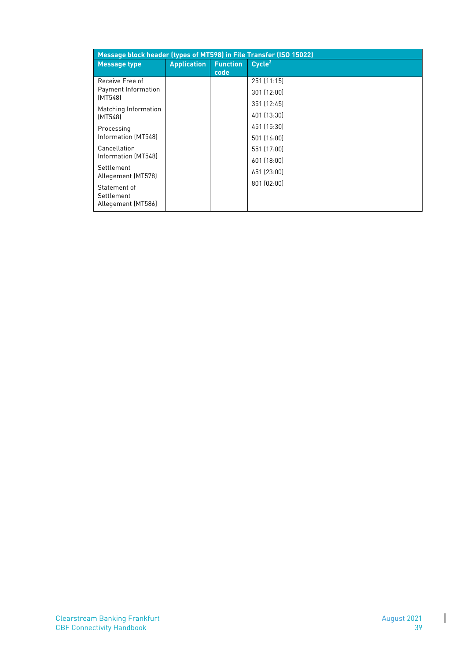| Message block header (types of MT598) in File Transfer (ISO 15022) |                    |                 |                    |  |
|--------------------------------------------------------------------|--------------------|-----------------|--------------------|--|
| <b>Message type</b>                                                | <b>Application</b> | <b>Function</b> | Cycle <sup>3</sup> |  |
|                                                                    |                    | code            |                    |  |
| Receive Free of                                                    |                    |                 | 251(11:15)         |  |
| Payment Information<br>(MT548)                                     |                    |                 | 301 (12:00)        |  |
|                                                                    |                    |                 | 351 (12:45)        |  |
| Matching Information<br>(MT548)                                    |                    |                 | 401 (13:30)        |  |
| Processing                                                         |                    |                 | 451 (15:30)        |  |
| Information (MT548)                                                |                    |                 | 501 (16:00)        |  |
| Cancellation                                                       |                    |                 | 551 (17:00)        |  |
| Information (MT548)                                                |                    |                 | 601 (18:00)        |  |
| Settlement<br>Allegement (MT578)                                   |                    |                 | 651 (23:00)        |  |
|                                                                    |                    |                 | 801 (02:00)        |  |
| Statement of<br>Settlement<br>Allegement [MT586]                   |                    |                 |                    |  |

 $\begin{array}{c} \hline \end{array}$